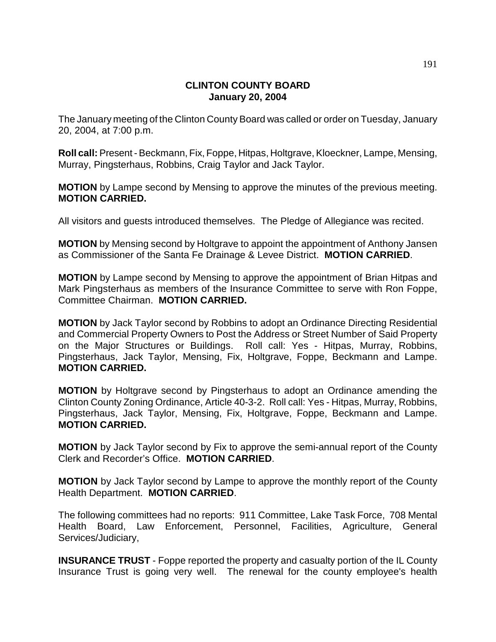## **CLINTON COUNTY BOARD January 20, 2004**

The January meeting of the Clinton County Board was called or order on Tuesday, January 20, 2004, at 7:00 p.m.

**Roll call:** Present - Beckmann, Fix, Foppe, Hitpas, Holtgrave, Kloeckner, Lampe, Mensing, Murray, Pingsterhaus, Robbins, Craig Taylor and Jack Taylor.

**MOTION** by Lampe second by Mensing to approve the minutes of the previous meeting. **MOTION CARRIED.**

All visitors and guests introduced themselves. The Pledge of Allegiance was recited.

**MOTION** by Mensing second by Holtgrave to appoint the appointment of Anthony Jansen as Commissioner of the Santa Fe Drainage & Levee District. **MOTION CARRIED**.

**MOTION** by Lampe second by Mensing to approve the appointment of Brian Hitpas and Mark Pingsterhaus as members of the Insurance Committee to serve with Ron Foppe, Committee Chairman. **MOTION CARRIED.**

**MOTION** by Jack Taylor second by Robbins to adopt an Ordinance Directing Residential and Commercial Property Owners to Post the Address or Street Number of Said Property on the Major Structures or Buildings. Roll call: Yes - Hitpas, Murray, Robbins, Pingsterhaus, Jack Taylor, Mensing, Fix, Holtgrave, Foppe, Beckmann and Lampe. **MOTION CARRIED.**

**MOTION** by Holtgrave second by Pingsterhaus to adopt an Ordinance amending the Clinton County Zoning Ordinance, Article 40-3-2. Roll call: Yes - Hitpas, Murray, Robbins, Pingsterhaus, Jack Taylor, Mensing, Fix, Holtgrave, Foppe, Beckmann and Lampe. **MOTION CARRIED.**

**MOTION** by Jack Taylor second by Fix to approve the semi-annual report of the County Clerk and Recorder's Office. **MOTION CARRIED**.

**MOTION** by Jack Taylor second by Lampe to approve the monthly report of the County Health Department. **MOTION CARRIED**.

The following committees had no reports: 911 Committee, Lake Task Force, 708 Mental Health Board, Law Enforcement, Personnel, Facilities, Agriculture, General Services/Judiciary,

**INSURANCE TRUST** - Foppe reported the property and casualty portion of the IL County Insurance Trust is going very well. The renewal for the county employee's health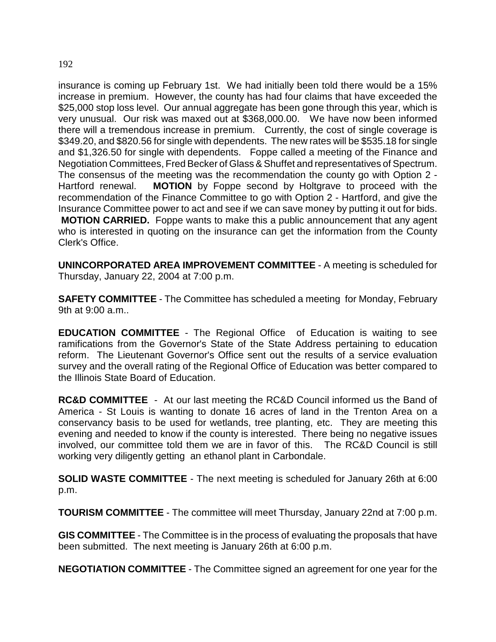## insurance is coming up February 1st. We had initially been told there would be a 15% increase in premium. However, the county has had four claims that have exceeded the \$25,000 stop loss level. Our annual aggregate has been gone through this year, which is very unusual. Our risk was maxed out at \$368,000.00. We have now been informed there will a tremendous increase in premium. Currently, the cost of single coverage is \$349.20, and \$820.56 for single with dependents. The new rates will be \$535.18 for single and \$1,326.50 for single with dependents. Foppe called a meeting of the Finance and Negotiation Committees, Fred Becker of Glass & Shuffet and representatives of Spectrum. The consensus of the meeting was the recommendation the county go with Option 2 - Hartford renewal. **MOTION** by Foppe second by Holtgrave to proceed with the recommendation of the Finance Committee to go with Option 2 - Hartford, and give the Insurance Committee power to act and see if we can save money by putting it out for bids. **MOTION CARRIED.** Foppe wants to make this a public announcement that any agent

who is interested in quoting on the insurance can get the information from the County Clerk's Office.

**UNINCORPORATED AREA IMPROVEMENT COMMITTEE** - A meeting is scheduled for Thursday, January 22, 2004 at 7:00 p.m.

**SAFETY COMMITTEE** - The Committee has scheduled a meeting for Monday, February 9th at 9:00 a.m..

**EDUCATION COMMITTEE** - The Regional Office of Education is waiting to see ramifications from the Governor's State of the State Address pertaining to education reform. The Lieutenant Governor's Office sent out the results of a service evaluation survey and the overall rating of the Regional Office of Education was better compared to the Illinois State Board of Education.

**RC&D COMMITTEE** - At our last meeting the RC&D Council informed us the Band of America - St Louis is wanting to donate 16 acres of land in the Trenton Area on a conservancy basis to be used for wetlands, tree planting, etc. They are meeting this evening and needed to know if the county is interested. There being no negative issues involved, our committee told them we are in favor of this. The RC&D Council is still working very diligently getting an ethanol plant in Carbondale.

**SOLID WASTE COMMITTEE** - The next meeting is scheduled for January 26th at 6:00 p.m.

**TOURISM COMMITTEE** - The committee will meet Thursday, January 22nd at 7:00 p.m.

**GIS COMMITTEE** - The Committee is in the process of evaluating the proposals that have been submitted. The next meeting is January 26th at 6:00 p.m.

**NEGOTIATION COMMITTEE** - The Committee signed an agreement for one year for the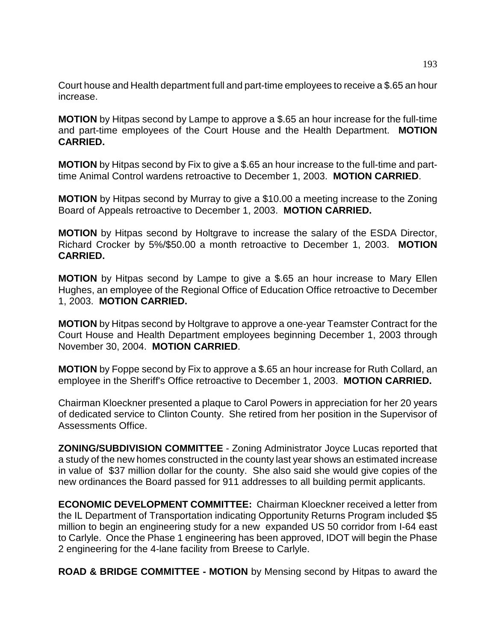Court house and Health department full and part-time employees to receive a \$.65 an hour increase.

**MOTION** by Hitpas second by Lampe to approve a \$.65 an hour increase for the full-time and part-time employees of the Court House and the Health Department. **MOTION CARRIED.**

**MOTION** by Hitpas second by Fix to give a \$.65 an hour increase to the full-time and parttime Animal Control wardens retroactive to December 1, 2003. **MOTION CARRIED**.

**MOTION** by Hitpas second by Murray to give a \$10.00 a meeting increase to the Zoning Board of Appeals retroactive to December 1, 2003. **MOTION CARRIED.**

**MOTION** by Hitpas second by Holtgrave to increase the salary of the ESDA Director, Richard Crocker by 5%/\$50.00 a month retroactive to December 1, 2003. **MOTION CARRIED.**

**MOTION** by Hitpas second by Lampe to give a \$.65 an hour increase to Mary Ellen Hughes, an employee of the Regional Office of Education Office retroactive to December 1, 2003. **MOTION CARRIED.**

**MOTION** by Hitpas second by Holtgrave to approve a one-year Teamster Contract for the Court House and Health Department employees beginning December 1, 2003 through November 30, 2004. **MOTION CARRIED**.

**MOTION** by Foppe second by Fix to approve a \$.65 an hour increase for Ruth Collard, an employee in the Sheriff's Office retroactive to December 1, 2003. **MOTION CARRIED.**

Chairman Kloeckner presented a plaque to Carol Powers in appreciation for her 20 years of dedicated service to Clinton County. She retired from her position in the Supervisor of Assessments Office.

**ZONING/SUBDIVISION COMMITTEE** - Zoning Administrator Joyce Lucas reported that a study of the new homes constructed in the county last year shows an estimated increase in value of \$37 million dollar for the county. She also said she would give copies of the new ordinances the Board passed for 911 addresses to all building permit applicants.

**ECONOMIC DEVELOPMENT COMMITTEE:** Chairman Kloeckner received a letter from the IL Department of Transportation indicating Opportunity Returns Program included \$5 million to begin an engineering study for a new expanded US 50 corridor from I-64 east to Carlyle. Once the Phase 1 engineering has been approved, IDOT will begin the Phase 2 engineering for the 4-lane facility from Breese to Carlyle.

**ROAD & BRIDGE COMMITTEE - MOTION** by Mensing second by Hitpas to award the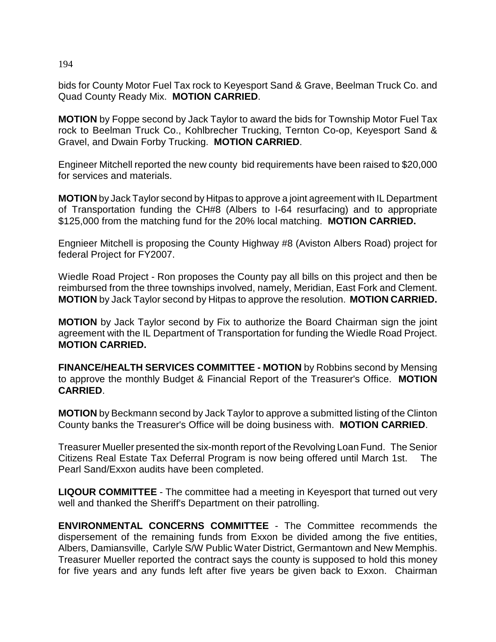bids for County Motor Fuel Tax rock to Keyesport Sand & Grave, Beelman Truck Co. and Quad County Ready Mix. **MOTION CARRIED**.

**MOTION** by Foppe second by Jack Taylor to award the bids for Township Motor Fuel Tax rock to Beelman Truck Co., Kohlbrecher Trucking, Ternton Co-op, Keyesport Sand & Gravel, and Dwain Forby Trucking. **MOTION CARRIED**.

Engineer Mitchell reported the new county bid requirements have been raised to \$20,000 for services and materials.

**MOTION** by Jack Taylor second by Hitpas to approve a joint agreement with IL Department of Transportation funding the CH#8 (Albers to I-64 resurfacing) and to appropriate \$125,000 from the matching fund for the 20% local matching. **MOTION CARRIED.**

Engnieer Mitchell is proposing the County Highway #8 (Aviston Albers Road) project for federal Project for FY2007.

Wiedle Road Project - Ron proposes the County pay all bills on this project and then be reimbursed from the three townships involved, namely, Meridian, East Fork and Clement. **MOTION** by Jack Taylor second by Hitpas to approve the resolution. **MOTION CARRIED.**

**MOTION** by Jack Taylor second by Fix to authorize the Board Chairman sign the joint agreement with the IL Department of Transportation for funding the Wiedle Road Project. **MOTION CARRIED.**

**FINANCE/HEALTH SERVICES COMMITTEE - MOTION** by Robbins second by Mensing to approve the monthly Budget & Financial Report of the Treasurer's Office. **MOTION CARRIED**.

**MOTION** by Beckmann second by Jack Taylor to approve a submitted listing of the Clinton County banks the Treasurer's Office will be doing business with. **MOTION CARRIED**.

Treasurer Mueller presented the six-month report of the Revolving Loan Fund. The Senior Citizens Real Estate Tax Deferral Program is now being offered until March 1st. The Pearl Sand/Exxon audits have been completed.

**LIQOUR COMMITTEE** - The committee had a meeting in Keyesport that turned out very well and thanked the Sheriff's Department on their patrolling.

**ENVIRONMENTAL CONCERNS COMMITTEE** - The Committee recommends the dispersement of the remaining funds from Exxon be divided among the five entities, Albers, Damiansville, Carlyle S/W Public Water District, Germantown and New Memphis. Treasurer Mueller reported the contract says the county is supposed to hold this money for five years and any funds left after five years be given back to Exxon. Chairman

194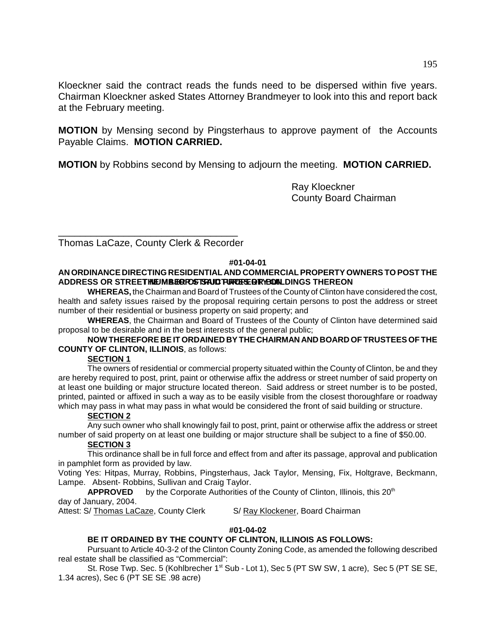Kloeckner said the contract reads the funds need to be dispersed within five years. Chairman Kloeckner asked States Attorney Brandmeyer to look into this and report back at the February meeting.

**MOTION** by Mensing second by Pingsterhaus to approve payment of the Accounts Payable Claims. **MOTION CARRIED.**

**MOTION** by Robbins second by Mensing to adjourn the meeting. **MOTION CARRIED.**

Ray Kloeckner County Board Chairman

\_\_\_\_\_\_\_\_\_\_\_\_\_\_\_\_\_\_\_\_\_\_\_\_\_\_\_\_\_\_\_\_\_ Thomas LaCaze, County Clerk & Recorder

#### **#01-04-01**

#### **AN ORDINANCE DIRECTING RESIDENTIAL AND COMMERCIAL PROPERTY OWNERS TO POST THE** ADDRESS OR STREET **INEUMBER FOSTS AUD FURTHER OF YEAR OUT LIERE ON**

**WHEREAS,** the Chairman and Board of Trustees of the County of Clinton have considered the cost, health and safety issues raised by the proposal requiring certain persons to post the address or street number of their residential or business property on said property; and

**WHEREAS**, the Chairman and Board of Trustees of the County of Clinton have determined said proposal to be desirable and in the best interests of the general public;

#### **NOW THEREFORE BE IT ORDAINED BY THE CHAIRMAN AND BOARD OF TRUSTEES OF THE COUNTY OF CLINTON, ILLINOIS**, as follows:

## **SECTION 1**

The owners of residential or commercial property situated within the County of Clinton, be and they are hereby required to post, print, paint or otherwise affix the address or street number of said property on at least one building or major structure located thereon. Said address or street number is to be posted, printed, painted or affixed in such a way as to be easily visible from the closest thoroughfare or roadway which may pass in what may pass in what would be considered the front of said building or structure.

#### **SECTION 2**

Any such owner who shall knowingly fail to post, print, paint or otherwise affix the address or street number of said property on at least one building or major structure shall be subject to a fine of \$50.00.

#### **SECTION 3**

This ordinance shall be in full force and effect from and after its passage, approval and publication in pamphlet form as provided by law.

Voting Yes: Hitpas, Murray, Robbins, Pingsterhaus, Jack Taylor, Mensing, Fix, Holtgrave, Beckmann, Lampe. Absent- Robbins, Sullivan and Craig Taylor.

**APPROVED** by the Corporate Authorities of the County of Clinton, Illinois, this 20<sup>th</sup> day of January, 2004.

Attest: S/ Thomas LaCaze, County Clerk S/ Ray Klockener, Board Chairman

## **#01-04-02**

## **BE IT ORDAINED BY THE COUNTY OF CLINTON, ILLINOIS AS FOLLOWS:**

Pursuant to Article 40-3-2 of the Clinton County Zoning Code, as amended the following described real estate shall be classified as "Commercial":

St. Rose Twp. Sec. 5 (Kohlbrecher 1<sup>st</sup> Sub - Lot 1), Sec 5 (PT SW SW, 1 acre), Sec 5 (PT SE SE, 1.34 acres), Sec 6 (PT SE SE .98 acre)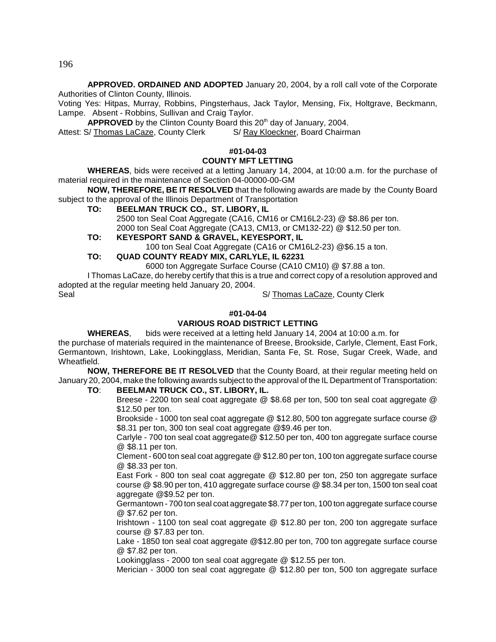196

**APPROVED. ORDAINED AND ADOPTED** January 20, 2004, by a roll call vote of the Corporate Authorities of Clinton County, Illinois.

Voting Yes: Hitpas, Murray, Robbins, Pingsterhaus, Jack Taylor, Mensing, Fix, Holtgrave, Beckmann, Lampe. Absent - Robbins, Sullivan and Craig Taylor.

APPROVED by the Clinton County Board this 20<sup>th</sup> day of January, 2004.

Attest: S/ Thomas LaCaze, County Clerk S/ Ray Kloeckner, Board Chairman

## **#01-04-03**

#### **COUNTY MFT LETTING**

**WHEREAS**, bids were received at a letting January 14, 2004, at 10:00 a.m. for the purchase of material required in the maintenance of Section 04-00000-00-GM

**NOW, THEREFORE, BE IT RESOLVED** that the following awards are made by the County Board subject to the approval of the Illinois Department of Transportation

**TO: BEELMAN TRUCK CO., ST. LIBORY, IL** 

2500 ton Seal Coat Aggregate (CA16, CM16 or CM16L2-23) @ \$8.86 per ton. 2000 ton Seal Coat Aggregate (CA13, CM13, or CM132-22) @ \$12.50 per ton.

**TO: KEYESPORT SAND & GRAVEL, KEYESPORT, IL**

100 ton Seal Coat Aggregate (CA16 or CM16L2-23) @\$6.15 a ton.

## **TO: QUAD COUNTY READY MIX, CARLYLE, IL 62231**

6000 ton Aggregate Surface Course (CA10 CM10) @ \$7.88 a ton.

I Thomas LaCaze, do hereby certify that this is a true and correct copy of a resolution approved and adopted at the regular meeting held January 20, 2004.

Seal S/ Thomas LaCaze, County Clerk

#### **#01-04-04**

## **VARIOUS ROAD DISTRICT LETTING**

**WHEREAS**, bids were received at a letting held January 14, 2004 at 10:00 a.m. for

the purchase of materials required in the maintenance of Breese, Brookside, Carlyle, Clement, East Fork, Germantown, Irishtown, Lake, Lookingglass, Meridian, Santa Fe, St. Rose, Sugar Creek, Wade, and Wheatfield.

**NOW, THEREFORE BE IT RESOLVED** that the County Board, at their regular meeting held on January 20, 2004, make the following awards subject to the approval of the IL Department of Transportation:

#### **TO**: **BEELMAN TRUCK CO., ST. LIBORY, IL.**

Breese - 2200 ton seal coat aggregate @ \$8.68 per ton, 500 ton seal coat aggregate @ \$12.50 per ton.

Brookside - 1000 ton seal coat aggregate @ \$12.80, 500 ton aggregate surface course @ \$8.31 per ton, 300 ton seal coat aggregate @\$9.46 per ton.

Carlyle - 700 ton seal coat aggregate@ \$12.50 per ton, 400 ton aggregate surface course @ \$8.11 per ton.

Clement - 600 ton seal coat aggregate @ \$12.80 per ton, 100 ton aggregate surface course @ \$8.33 per ton.

East Fork - 800 ton seal coat aggregate @ \$12.80 per ton, 250 ton aggregate surface course @ \$8.90 per ton, 410 aggregate surface course @ \$8.34 per ton, 1500 ton seal coat aggregate @\$9.52 per ton.

Germantown - 700 ton seal coat aggregate \$8.77 per ton, 100 ton aggregate surface course @ \$7.62 per ton.

Irishtown - 1100 ton seal coat aggregate @ \$12.80 per ton, 200 ton aggregate surface course @ \$7.83 per ton.

Lake - 1850 ton seal coat aggregate @\$12.80 per ton, 700 ton aggregate surface course @ \$7.82 per ton.

Lookingglass - 2000 ton seal coat aggregate @ \$12.55 per ton.

Merician - 3000 ton seal coat aggregate @ \$12.80 per ton, 500 ton aggregate surface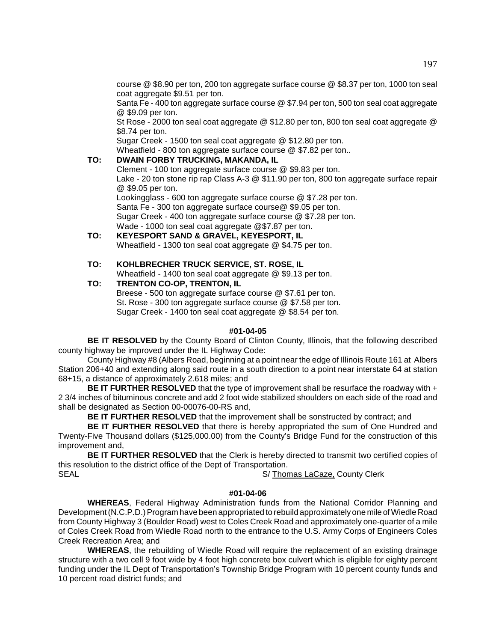course @ \$8.90 per ton, 200 ton aggregate surface course @ \$8.37 per ton, 1000 ton seal coat aggregate \$9.51 per ton.

Santa Fe - 400 ton aggregate surface course @ \$7.94 per ton, 500 ton seal coat aggregate @ \$9.09 per ton.

St Rose - 2000 ton seal coat aggregate @ \$12.80 per ton, 800 ton seal coat aggregate @ \$8.74 per ton.

Sugar Creek - 1500 ton seal coat aggregate @ \$12.80 per ton.

Wheatfield - 800 ton aggregate surface course @ \$7.82 per ton..

## **TO: DWAIN FORBY TRUCKING, MAKANDA, IL**

Clement - 100 ton aggregate surface course @ \$9.83 per ton. Lake - 20 ton stone rip rap Class A-3 @ \$11.90 per ton, 800 ton aggregate surface repair @ \$9.05 per ton.

Lookingglass - 600 ton aggregate surface course @ \$7.28 per ton. Santa Fe - 300 ton aggregate surface course@ \$9.05 per ton. Sugar Creek - 400 ton aggregate surface course @ \$7.28 per ton. Wade - 1000 ton seal coat aggregate @\$7.87 per ton.

**TO: KEYESPORT SAND & GRAVEL, KEYESPORT, IL** Wheatfield - 1300 ton seal coat aggregate @ \$4.75 per ton.

#### **TO: KOHLBRECHER TRUCK SERVICE, ST. ROSE, IL**

Wheatfield - 1400 ton seal coat aggregate @ \$9.13 per ton.

#### **TO: TRENTON CO-OP, TRENTON, IL**

Breese - 500 ton aggregate surface course @ \$7.61 per ton. St. Rose - 300 ton aggregate surface course @ \$7.58 per ton. Sugar Creek - 1400 ton seal coat aggregate @ \$8.54 per ton.

#### **#01-04-05**

**BE IT RESOLVED** by the County Board of Clinton County, Illinois, that the following described county highway be improved under the IL Highway Code:

County Highway #8 (Albers Road, beginning at a point near the edge of Illinois Route 161 at Albers Station 206+40 and extending along said route in a south direction to a point near interstate 64 at station 68+15, a distance of approximately 2.618 miles; and

**BE IT FURTHER RESOLVED** that the type of improvement shall be resurface the roadway with + 2 3/4 inches of bituminous concrete and add 2 foot wide stabilized shoulders on each side of the road and shall be designated as Section 00-00076-00-RS and,

**BE IT FURTHER RESOLVED** that the improvement shall be sonstructed by contract; and

**BE IT FURTHER RESOLVED** that there is hereby appropriated the sum of One Hundred and Twenty-Five Thousand dollars (\$125,000.00) from the County's Bridge Fund for the construction of this improvement and,

**BE IT FURTHER RESOLVED** that the Clerk is hereby directed to transmit two certified copies of this resolution to the district office of the Dept of Transportation.

SEAL SEAL S/ Thomas LaCaze, County Clerk

#### **#01-04-06**

**WHEREAS**, Federal Highway Administration funds from the National Corridor Planning and Development (N.C.P.D.) Program have been appropriated to rebuild approximately one mile of Wiedle Road from County Highway 3 (Boulder Road) west to Coles Creek Road and approximately one-quarter of a mile of Coles Creek Road from Wiedle Road north to the entrance to the U.S. Army Corps of Engineers Coles Creek Recreation Area; and

**WHEREAS**, the rebuilding of Wiedle Road will require the replacement of an existing drainage structure with a two cell 9 foot wide by 4 foot high concrete box culvert which is eligible for eighty percent funding under the IL Dept of Transportation's Township Bridge Program with 10 percent county funds and 10 percent road district funds; and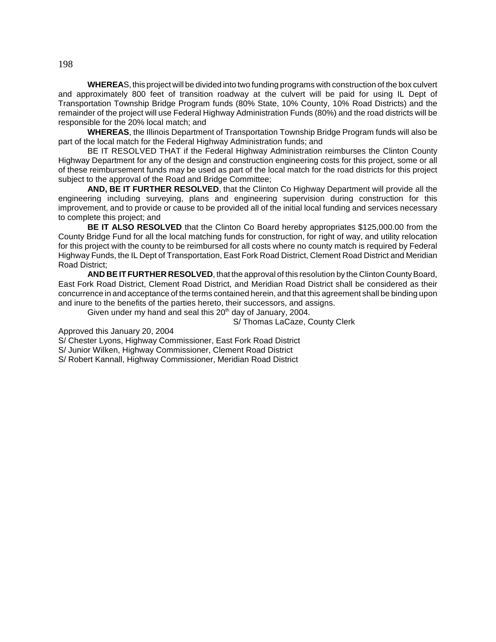**WHEREA**S, this project will be divided into two funding programs with construction of the box culvert and approximately 800 feet of transition roadway at the culvert will be paid for using IL Dept of Transportation Township Bridge Program funds (80% State, 10% County, 10% Road Districts) and the remainder of the project will use Federal Highway Administration Funds (80%) and the road districts will be responsible for the 20% local match; and

**WHEREAS**, the Illinois Department of Transportation Township Bridge Program funds will also be part of the local match for the Federal Highway Administration funds; and

BE IT RESOLVED THAT if the Federal Highway Administration reimburses the Clinton County Highway Department for any of the design and construction engineering costs for this project, some or all of these reimbursement funds may be used as part of the local match for the road districts for this project subject to the approval of the Road and Bridge Committee;

**AND, BE IT FURTHER RESOLVED**, that the Clinton Co Highway Department will provide all the engineering including surveying, plans and engineering supervision during construction for this improvement, and to provide or cause to be provided all of the initial local funding and services necessary to complete this project; and

**BE IT ALSO RESOLVED** that the Clinton Co Board hereby appropriates \$125,000.00 from the County Bridge Fund for all the local matching funds for construction, for right of way, and utility relocation for this project with the county to be reimbursed for all costs where no county match is required by Federal Highway Funds, the IL Dept of Transportation, East Fork Road District, Clement Road District and Meridian Road District;

**AND BE IT FURTHER RESOLVED**, that the approval of this resolution by the Clinton County Board, East Fork Road District, Clement Road District, and Meridian Road District shall be considered as their concurrence in and acceptance of the terms contained herein, and that this agreement shall be binding upon and inure to the benefits of the parties hereto, their successors, and assigns.

Given under my hand and seal this  $20<sup>th</sup>$  day of January, 2004.

S/ Thomas LaCaze, County Clerk

Approved this January 20, 2004

S/ Chester Lyons, Highway Commissioner, East Fork Road District

S/ Junior Wilken, Highway Commissioner, Clement Road District

S/ Robert Kannall, Highway Commissioner, Meridian Road District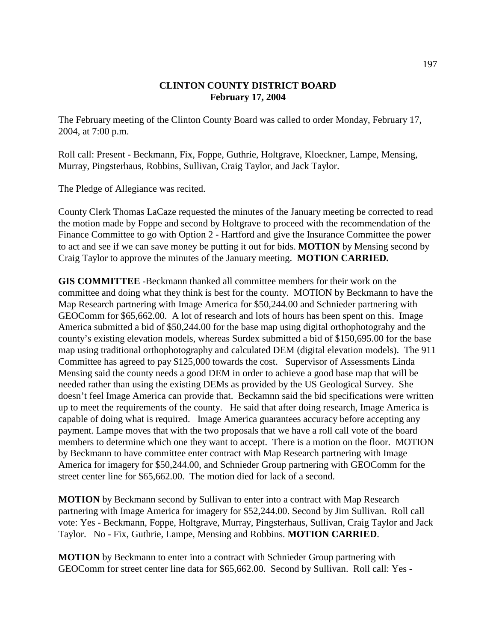## **CLINTON COUNTY DISTRICT BOARD February 17, 2004**

The February meeting of the Clinton County Board was called to order Monday, February 17, 2004, at 7:00 p.m.

Roll call: Present - Beckmann, Fix, Foppe, Guthrie, Holtgrave, Kloeckner, Lampe, Mensing, Murray, Pingsterhaus, Robbins, Sullivan, Craig Taylor, and Jack Taylor.

The Pledge of Allegiance was recited.

County Clerk Thomas LaCaze requested the minutes of the January meeting be corrected to read the motion made by Foppe and second by Holtgrave to proceed with the recommendation of the Finance Committee to go with Option 2 - Hartford and give the Insurance Committee the power to act and see if we can save money be putting it out for bids. **MOTION** by Mensing second by Craig Taylor to approve the minutes of the January meeting. **MOTION CARRIED.**

**GIS COMMITTEE** -Beckmann thanked all committee members for their work on the committee and doing what they think is best for the county. MOTION by Beckmann to have the Map Research partnering with Image America for \$50,244.00 and Schnieder partnering with GEOComm for \$65,662.00. A lot of research and lots of hours has been spent on this. Image America submitted a bid of \$50,244.00 for the base map using digital orthophotograhy and the county's existing elevation models, whereas Surdex submitted a bid of \$150,695.00 for the base map using traditional orthophotography and calculated DEM (digital elevation models). The 911 Committee has agreed to pay \$125,000 towards the cost. Supervisor of Assessments Linda Mensing said the county needs a good DEM in order to achieve a good base map that will be needed rather than using the existing DEMs as provided by the US Geological Survey. She doesn't feel Image America can provide that. Beckamnn said the bid specifications were written up to meet the requirements of the county. He said that after doing research, Image America is capable of doing what is required. Image America guarantees accuracy before accepting any payment. Lampe moves that with the two proposals that we have a roll call vote of the board members to determine which one they want to accept. There is a motion on the floor. MOTION by Beckmann to have committee enter contract with Map Research partnering with Image America for imagery for \$50,244.00, and Schnieder Group partnering with GEOComm for the street center line for \$65,662.00. The motion died for lack of a second.

**MOTION** by Beckmann second by Sullivan to enter into a contract with Map Research partnering with Image America for imagery for \$52,244.00. Second by Jim Sullivan. Roll call vote: Yes - Beckmann, Foppe, Holtgrave, Murray, Pingsterhaus, Sullivan, Craig Taylor and Jack Taylor. No - Fix, Guthrie, Lampe, Mensing and Robbins. **MOTION CARRIED**.

**MOTION** by Beckmann to enter into a contract with Schnieder Group partnering with GEOComm for street center line data for \$65,662.00. Second by Sullivan. Roll call: Yes -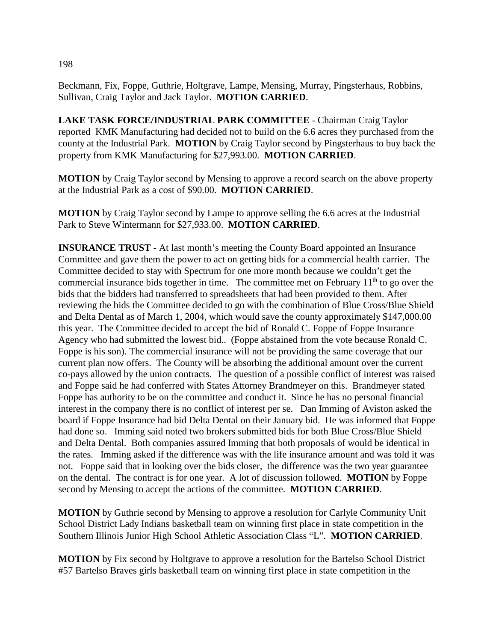Beckmann, Fix, Foppe, Guthrie, Holtgrave, Lampe, Mensing, Murray, Pingsterhaus, Robbins, Sullivan, Craig Taylor and Jack Taylor. **MOTION CARRIED**.

**LAKE TASK FORCE/INDUSTRIAL PARK COMMITTEE** - Chairman Craig Taylor reported KMK Manufacturing had decided not to build on the 6.6 acres they purchased from the county at the Industrial Park. **MOTION** by Craig Taylor second by Pingsterhaus to buy back the property from KMK Manufacturing for \$27,993.00. **MOTION CARRIED**.

**MOTION** by Craig Taylor second by Mensing to approve a record search on the above property at the Industrial Park as a cost of \$90.00. **MOTION CARRIED**.

**MOTION** by Craig Taylor second by Lampe to approve selling the 6.6 acres at the Industrial Park to Steve Wintermann for \$27,933.00. **MOTION CARRIED**.

**INSURANCE TRUST** - At last month's meeting the County Board appointed an Insurance Committee and gave them the power to act on getting bids for a commercial health carrier. The Committee decided to stay with Spectrum for one more month because we couldn't get the commercial insurance bids together in time. The committee met on February  $11<sup>th</sup>$  to go over the bids that the bidders had transferred to spreadsheets that had been provided to them. After reviewing the bids the Committee decided to go with the combination of Blue Cross/Blue Shield and Delta Dental as of March 1, 2004, which would save the county approximately \$147,000.00 this year. The Committee decided to accept the bid of Ronald C. Foppe of Foppe Insurance Agency who had submitted the lowest bid.. (Foppe abstained from the vote because Ronald C. Foppe is his son). The commercial insurance will not be providing the same coverage that our current plan now offers. The County will be absorbing the additional amount over the current co-pays allowed by the union contracts. The question of a possible conflict of interest was raised and Foppe said he had conferred with States Attorney Brandmeyer on this. Brandmeyer stated Foppe has authority to be on the committee and conduct it. Since he has no personal financial interest in the company there is no conflict of interest per se. Dan Imming of Aviston asked the board if Foppe Insurance had bid Delta Dental on their January bid. He was informed that Foppe had done so. Imming said noted two brokers submitted bids for both Blue Cross/Blue Shield and Delta Dental. Both companies assured Imming that both proposals of would be identical in the rates. Imming asked if the difference was with the life insurance amount and was told it was not. Foppe said that in looking over the bids closer, the difference was the two year guarantee on the dental. The contract is for one year. A lot of discussion followed. **MOTION** by Foppe second by Mensing to accept the actions of the committee. **MOTION CARRIED**.

**MOTION** by Guthrie second by Mensing to approve a resolution for Carlyle Community Unit School District Lady Indians basketball team on winning first place in state competition in the Southern Illinois Junior High School Athletic Association Class "L". **MOTION CARRIED**.

**MOTION** by Fix second by Holtgrave to approve a resolution for the Bartelso School District #57 Bartelso Braves girls basketball team on winning first place in state competition in the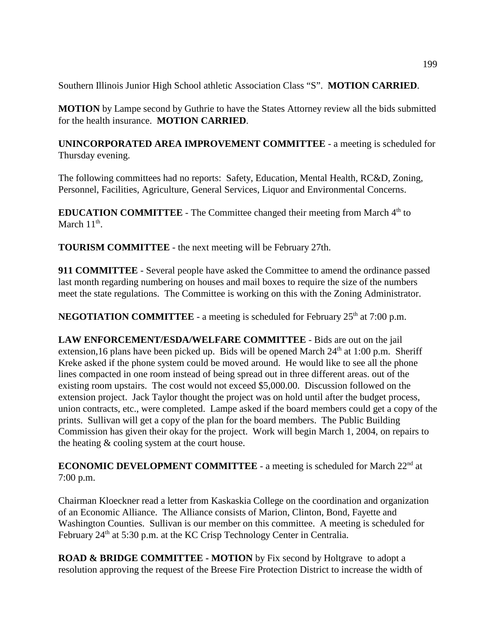Southern Illinois Junior High School athletic Association Class "S". **MOTION CARRIED**.

**MOTION** by Lampe second by Guthrie to have the States Attorney review all the bids submitted for the health insurance. **MOTION CARRIED**.

**UNINCORPORATED AREA IMPROVEMENT COMMITTEE** - a meeting is scheduled for Thursday evening.

The following committees had no reports: Safety, Education, Mental Health, RC&D, Zoning, Personnel, Facilities, Agriculture, General Services, Liquor and Environmental Concerns.

**EDUCATION COMMITTEE** - The Committee changed their meeting from March 4<sup>th</sup> to March  $11^{\text{th}}$ .

**TOURISM COMMITTEE** - the next meeting will be February 27th.

**911 COMMITTEE** - Several people have asked the Committee to amend the ordinance passed last month regarding numbering on houses and mail boxes to require the size of the numbers meet the state regulations. The Committee is working on this with the Zoning Administrator.

**NEGOTIATION COMMITTEE** - a meeting is scheduled for February  $25<sup>th</sup>$  at 7:00 p.m.

**LAW ENFORCEMENT/ESDA/WELFARE COMMITTEE** - Bids are out on the jail extension,16 plans have been picked up. Bids will be opened March  $24<sup>th</sup>$  at 1:00 p.m. Sheriff Kreke asked if the phone system could be moved around. He would like to see all the phone lines compacted in one room instead of being spread out in three different areas. out of the existing room upstairs. The cost would not exceed \$5,000.00. Discussion followed on the extension project. Jack Taylor thought the project was on hold until after the budget process, union contracts, etc., were completed. Lampe asked if the board members could get a copy of the prints. Sullivan will get a copy of the plan for the board members. The Public Building Commission has given their okay for the project. Work will begin March 1, 2004, on repairs to the heating & cooling system at the court house.

**ECONOMIC DEVELOPMENT COMMITTEE** - a meeting is scheduled for March 22<sup>nd</sup> at 7:00 p.m.

Chairman Kloeckner read a letter from Kaskaskia College on the coordination and organization of an Economic Alliance. The Alliance consists of Marion, Clinton, Bond, Fayette and Washington Counties. Sullivan is our member on this committee. A meeting is scheduled for February 24<sup>th</sup> at 5:30 p.m. at the KC Crisp Technology Center in Centralia.

**ROAD & BRIDGE COMMITTEE - MOTION** by Fix second by Holtgrave to adopt a resolution approving the request of the Breese Fire Protection District to increase the width of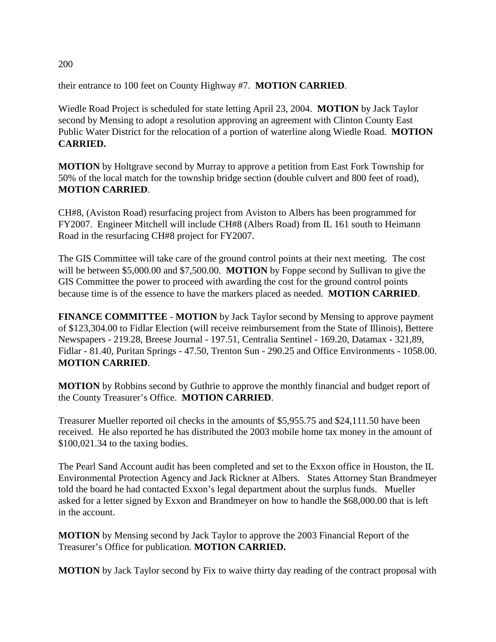their entrance to 100 feet on County Highway #7. **MOTION CARRIED**.

Wiedle Road Project is scheduled for state letting April 23, 2004. **MOTION** by Jack Taylor second by Mensing to adopt a resolution approving an agreement with Clinton County East Public Water District for the relocation of a portion of waterline along Wiedle Road. **MOTION CARRIED.** 

**MOTION** by Holtgrave second by Murray to approve a petition from East Fork Township for 50% of the local match for the township bridge section (double culvert and 800 feet of road), **MOTION CARRIED**.

CH#8, (Aviston Road) resurfacing project from Aviston to Albers has been programmed for FY2007. Engineer Mitchell will include CH#8 (Albers Road) from IL 161 south to Heimann Road in the resurfacing CH#8 project for FY2007.

The GIS Committee will take care of the ground control points at their next meeting. The cost will be between \$5,000.00 and \$7,500.00. **MOTION** by Foppe second by Sullivan to give the GIS Committee the power to proceed with awarding the cost for the ground control points because time is of the essence to have the markers placed as needed. **MOTION CARRIED**.

**FINANCE COMMITTEE** - **MOTION** by Jack Taylor second by Mensing to approve payment of \$123,304.00 to Fidlar Election (will receive reimbursement from the State of Illinois), Bettere Newspapers - 219.28, Breese Journal - 197.51, Centralia Sentinel - 169.20, Datamax - 321,89, Fidlar - 81.40, Puritan Springs - 47.50, Trenton Sun - 290.25 and Office Environments - 1058.00. **MOTION CARRIED**.

**MOTION** by Robbins second by Guthrie to approve the monthly financial and budget report of the County Treasurer's Office. **MOTION CARRIED**.

Treasurer Mueller reported oil checks in the amounts of \$5,955.75 and \$24,111.50 have been received. He also reported he has distributed the 2003 mobile home tax money in the amount of \$100,021.34 to the taxing bodies.

The Pearl Sand Account audit has been completed and set to the Exxon office in Houston, the IL Environmental Protection Agency and Jack Rickner at Albers. States Attorney Stan Brandmeyer told the board he had contacted Exxon's legal department about the surplus funds. Mueller asked for a letter signed by Exxon and Brandmeyer on how to handle the \$68,000.00 that is left in the account.

**MOTION** by Mensing second by Jack Taylor to approve the 2003 Financial Report of the Treasurer's Office for publication. **MOTION CARRIED.**

**MOTION** by Jack Taylor second by Fix to waive thirty day reading of the contract proposal with

200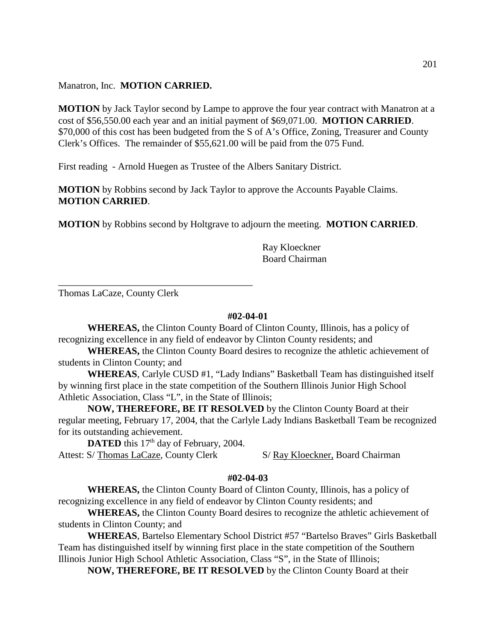Manatron, Inc. **MOTION CARRIED.**

**MOTION** by Jack Taylor second by Lampe to approve the four year contract with Manatron at a cost of \$56,550.00 each year and an initial payment of \$69,071.00. **MOTION CARRIED**. \$70,000 of this cost has been budgeted from the S of A's Office, Zoning, Treasurer and County Clerk's Offices. The remainder of \$55,621.00 will be paid from the 075 Fund.

First reading - Arnold Huegen as Trustee of the Albers Sanitary District.

**MOTION** by Robbins second by Jack Taylor to approve the Accounts Payable Claims. **MOTION CARRIED**.

**MOTION** by Robbins second by Holtgrave to adjourn the meeting. **MOTION CARRIED**.

Ray Kloeckner Board Chairman

Thomas LaCaze, County Clerk

\_\_\_\_\_\_\_\_\_\_\_\_\_\_\_\_\_\_\_\_\_\_\_\_\_\_\_\_\_\_\_\_\_\_\_\_\_\_\_\_

#### **#02-04-01**

**WHEREAS,** the Clinton County Board of Clinton County, Illinois, has a policy of recognizing excellence in any field of endeavor by Clinton County residents; and

**WHEREAS,** the Clinton County Board desires to recognize the athletic achievement of students in Clinton County; and

**WHEREAS**, Carlyle CUSD #1, "Lady Indians" Basketball Team has distinguished itself by winning first place in the state competition of the Southern Illinois Junior High School Athletic Association, Class "L", in the State of Illinois;

**NOW, THEREFORE, BE IT RESOLVED** by the Clinton County Board at their regular meeting, February 17, 2004, that the Carlyle Lady Indians Basketball Team be recognized for its outstanding achievement.

**DATED** this 17<sup>th</sup> day of February, 2004. Attest: S/ Thomas LaCaze, County Clerk S/ Ray Kloeckner, Board Chairman

## **#02-04-03**

**WHEREAS,** the Clinton County Board of Clinton County, Illinois, has a policy of recognizing excellence in any field of endeavor by Clinton County residents; and

**WHEREAS,** the Clinton County Board desires to recognize the athletic achievement of students in Clinton County; and

**WHEREAS**, Bartelso Elementary School District #57 "Bartelso Braves" Girls Basketball Team has distinguished itself by winning first place in the state competition of the Southern Illinois Junior High School Athletic Association, Class "S", in the State of Illinois;

**NOW, THEREFORE, BE IT RESOLVED** by the Clinton County Board at their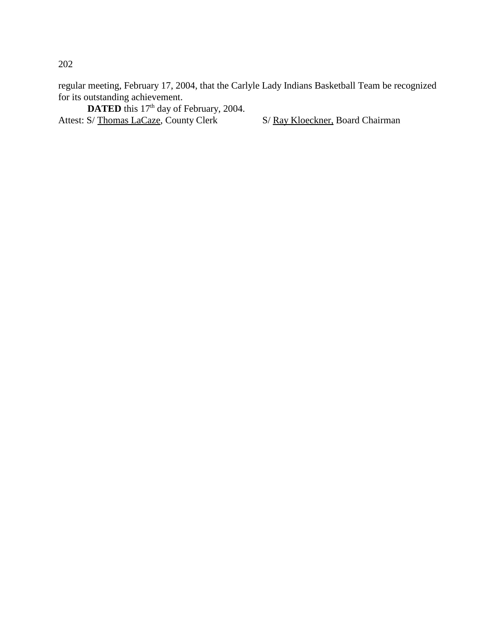regular meeting, February 17, 2004, that the Carlyle Lady Indians Basketball Team be recognized for its outstanding achievement.

**DATED** this 17<sup>th</sup> day of February, 2004. Attest: S/ Thomas LaCaze, County Clerk S/ Ray Kloeckner, Board Chairman

202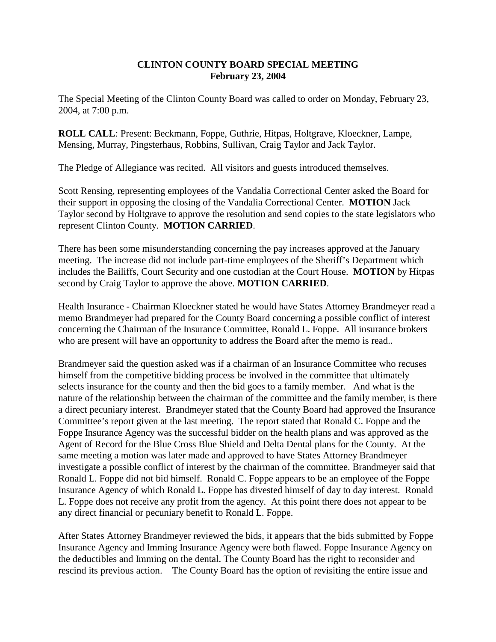## **CLINTON COUNTY BOARD SPECIAL MEETING February 23, 2004**

The Special Meeting of the Clinton County Board was called to order on Monday, February 23, 2004, at 7:00 p.m.

**ROLL CALL**: Present: Beckmann, Foppe, Guthrie, Hitpas, Holtgrave, Kloeckner, Lampe, Mensing, Murray, Pingsterhaus, Robbins, Sullivan, Craig Taylor and Jack Taylor.

The Pledge of Allegiance was recited. All visitors and guests introduced themselves.

Scott Rensing, representing employees of the Vandalia Correctional Center asked the Board for their support in opposing the closing of the Vandalia Correctional Center. **MOTION** Jack Taylor second by Holtgrave to approve the resolution and send copies to the state legislators who represent Clinton County. **MOTION CARRIED**.

There has been some misunderstanding concerning the pay increases approved at the January meeting. The increase did not include part-time employees of the Sheriff's Department which includes the Bailiffs, Court Security and one custodian at the Court House. **MOTION** by Hitpas second by Craig Taylor to approve the above. **MOTION CARRIED**.

Health Insurance - Chairman Kloeckner stated he would have States Attorney Brandmeyer read a memo Brandmeyer had prepared for the County Board concerning a possible conflict of interest concerning the Chairman of the Insurance Committee, Ronald L. Foppe. All insurance brokers who are present will have an opportunity to address the Board after the memo is read..

Brandmeyer said the question asked was if a chairman of an Insurance Committee who recuses himself from the competitive bidding process be involved in the committee that ultimately selects insurance for the county and then the bid goes to a family member. And what is the nature of the relationship between the chairman of the committee and the family member, is there a direct pecuniary interest. Brandmeyer stated that the County Board had approved the Insurance Committee's report given at the last meeting. The report stated that Ronald C. Foppe and the Foppe Insurance Agency was the successful bidder on the health plans and was approved as the Agent of Record for the Blue Cross Blue Shield and Delta Dental plans for the County. At the same meeting a motion was later made and approved to have States Attorney Brandmeyer investigate a possible conflict of interest by the chairman of the committee. Brandmeyer said that Ronald L. Foppe did not bid himself. Ronald C. Foppe appears to be an employee of the Foppe Insurance Agency of which Ronald L. Foppe has divested himself of day to day interest. Ronald L. Foppe does not receive any profit from the agency. At this point there does not appear to be any direct financial or pecuniary benefit to Ronald L. Foppe.

After States Attorney Brandmeyer reviewed the bids, it appears that the bids submitted by Foppe Insurance Agency and Imming Insurance Agency were both flawed. Foppe Insurance Agency on the deductibles and Imming on the dental. The County Board has the right to reconsider and rescind its previous action. The County Board has the option of revisiting the entire issue and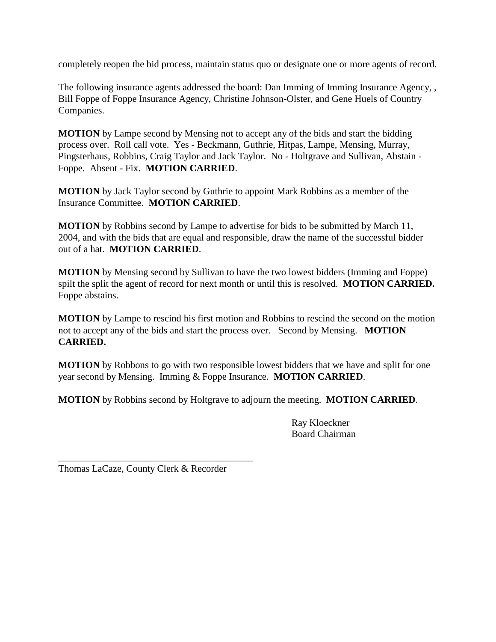completely reopen the bid process, maintain status quo or designate one or more agents of record.

The following insurance agents addressed the board: Dan Imming of Imming Insurance Agency, , Bill Foppe of Foppe Insurance Agency, Christine Johnson-Olster, and Gene Huels of Country Companies.

**MOTION** by Lampe second by Mensing not to accept any of the bids and start the bidding process over. Roll call vote. Yes - Beckmann, Guthrie, Hitpas, Lampe, Mensing, Murray, Pingsterhaus, Robbins, Craig Taylor and Jack Taylor. No - Holtgrave and Sullivan, Abstain - Foppe. Absent - Fix. **MOTION CARRIED**.

**MOTION** by Jack Taylor second by Guthrie to appoint Mark Robbins as a member of the Insurance Committee. **MOTION CARRIED**.

**MOTION** by Robbins second by Lampe to advertise for bids to be submitted by March 11, 2004, and with the bids that are equal and responsible, draw the name of the successful bidder out of a hat. **MOTION CARRIED**.

**MOTION** by Mensing second by Sullivan to have the two lowest bidders (Imming and Foppe) spilt the split the agent of record for next month or until this is resolved. **MOTION CARRIED.** Foppe abstains.

**MOTION** by Lampe to rescind his first motion and Robbins to rescind the second on the motion not to accept any of the bids and start the process over. Second by Mensing. **MOTION CARRIED.**

**MOTION** by Robbons to go with two responsible lowest bidders that we have and split for one year second by Mensing. Imming & Foppe Insurance. **MOTION CARRIED**.

**MOTION** by Robbins second by Holtgrave to adjourn the meeting. **MOTION CARRIED**.

Ray Kloeckner Board Chairman

Thomas LaCaze, County Clerk & Recorder

\_\_\_\_\_\_\_\_\_\_\_\_\_\_\_\_\_\_\_\_\_\_\_\_\_\_\_\_\_\_\_\_\_\_\_\_\_\_\_\_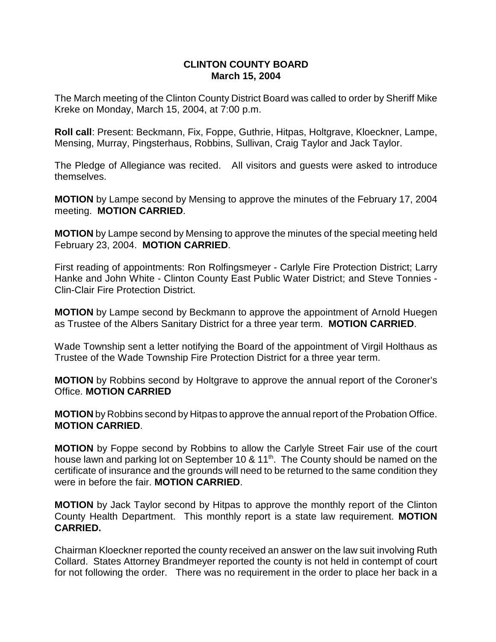## **CLINTON COUNTY BOARD March 15, 2004**

The March meeting of the Clinton County District Board was called to order by Sheriff Mike Kreke on Monday, March 15, 2004, at 7:00 p.m.

**Roll call**: Present: Beckmann, Fix, Foppe, Guthrie, Hitpas, Holtgrave, Kloeckner, Lampe, Mensing, Murray, Pingsterhaus, Robbins, Sullivan, Craig Taylor and Jack Taylor.

The Pledge of Allegiance was recited. All visitors and guests were asked to introduce themselves.

**MOTION** by Lampe second by Mensing to approve the minutes of the February 17, 2004 meeting. **MOTION CARRIED**.

**MOTION** by Lampe second by Mensing to approve the minutes of the special meeting held February 23, 2004. **MOTION CARRIED**.

First reading of appointments: Ron Rolfingsmeyer - Carlyle Fire Protection District; Larry Hanke and John White - Clinton County East Public Water District; and Steve Tonnies - Clin-Clair Fire Protection District.

**MOTION** by Lampe second by Beckmann to approve the appointment of Arnold Huegen as Trustee of the Albers Sanitary District for a three year term. **MOTION CARRIED**.

Wade Township sent a letter notifying the Board of the appointment of Virgil Holthaus as Trustee of the Wade Township Fire Protection District for a three year term.

**MOTION** by Robbins second by Holtgrave to approve the annual report of the Coroner's Office. **MOTION CARRIED**

**MOTION** by Robbins second by Hitpas to approve the annual report of the Probation Office. **MOTION CARRIED**.

**MOTION** by Foppe second by Robbins to allow the Carlyle Street Fair use of the court house lawn and parking lot on September 10 & 11<sup>th</sup>. The County should be named on the certificate of insurance and the grounds will need to be returned to the same condition they were in before the fair. **MOTION CARRIED**.

**MOTION** by Jack Taylor second by Hitpas to approve the monthly report of the Clinton County Health Department. This monthly report is a state law requirement. **MOTION CARRIED.**

Chairman Kloeckner reported the county received an answer on the law suit involving Ruth Collard. States Attorney Brandmeyer reported the county is not held in contempt of court for not following the order. There was no requirement in the order to place her back in a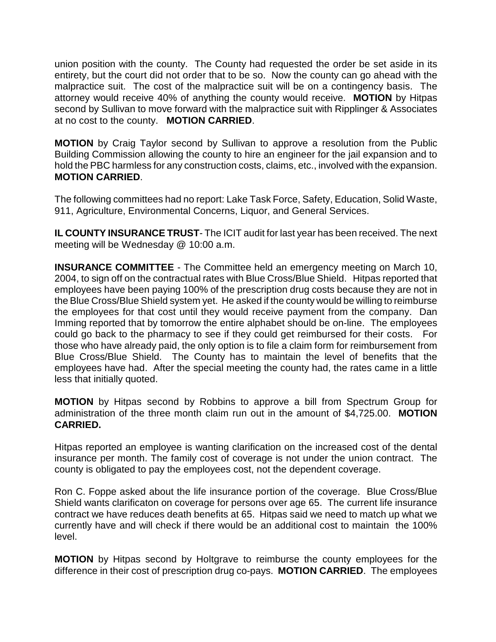union position with the county. The County had requested the order be set aside in its entirety, but the court did not order that to be so. Now the county can go ahead with the malpractice suit. The cost of the malpractice suit will be on a contingency basis. The attorney would receive 40% of anything the county would receive. **MOTION** by Hitpas second by Sullivan to move forward with the malpractice suit with Ripplinger & Associates at no cost to the county. **MOTION CARRIED**.

**MOTION** by Craig Taylor second by Sullivan to approve a resolution from the Public Building Commission allowing the county to hire an engineer for the jail expansion and to hold the PBC harmless for any construction costs, claims, etc., involved with the expansion. **MOTION CARRIED**.

The following committees had no report: Lake Task Force, Safety, Education, Solid Waste, 911, Agriculture, Environmental Concerns, Liquor, and General Services.

**IL COUNTY INSURANCE TRUST**- The ICIT audit for last year has been received. The next meeting will be Wednesday @ 10:00 a.m.

**INSURANCE COMMITTEE** - The Committee held an emergency meeting on March 10, 2004, to sign off on the contractual rates with Blue Cross/Blue Shield. Hitpas reported that employees have been paying 100% of the prescription drug costs because they are not in the Blue Cross/Blue Shield system yet. He asked if the county would be willing to reimburse the employees for that cost until they would receive payment from the company. Dan Imming reported that by tomorrow the entire alphabet should be on-line. The employees could go back to the pharmacy to see if they could get reimbursed for their costs. For those who have already paid, the only option is to file a claim form for reimbursement from Blue Cross/Blue Shield. The County has to maintain the level of benefits that the employees have had. After the special meeting the county had, the rates came in a little less that initially quoted.

**MOTION** by Hitpas second by Robbins to approve a bill from Spectrum Group for administration of the three month claim run out in the amount of \$4,725.00. **MOTION CARRIED.** 

Hitpas reported an employee is wanting clarification on the increased cost of the dental insurance per month. The family cost of coverage is not under the union contract. The county is obligated to pay the employees cost, not the dependent coverage.

Ron C. Foppe asked about the life insurance portion of the coverage. Blue Cross/Blue Shield wants clarificaton on coverage for persons over age 65. The current life insurance contract we have reduces death benefits at 65. Hitpas said we need to match up what we currently have and will check if there would be an additional cost to maintain the 100% level.

**MOTION** by Hitpas second by Holtgrave to reimburse the county employees for the difference in their cost of prescription drug co-pays. **MOTION CARRIED**. The employees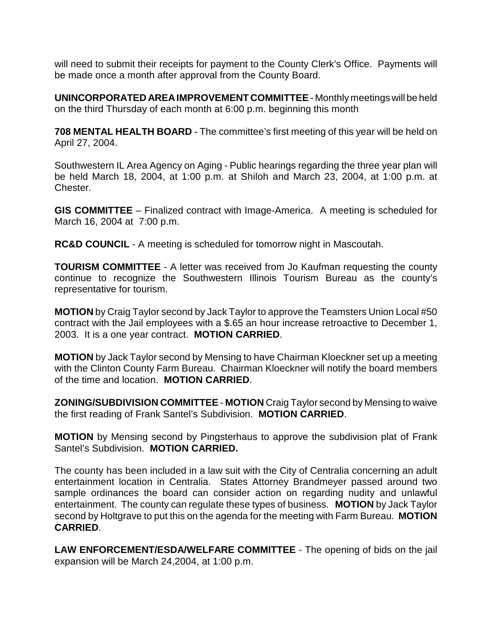will need to submit their receipts for payment to the County Clerk's Office. Payments will be made once a month after approval from the County Board.

**UNINCORPORATED AREA IMPROVEMENT COMMITTEE** - Monthly meetings will be held on the third Thursday of each month at 6:00 p.m. beginning this month

**708 MENTAL HEALTH BOARD** - The committee's first meeting of this year will be held on April 27, 2004.

Southwestern IL Area Agency on Aging - Public hearings regarding the three year plan will be held March 18, 2004, at 1:00 p.m. at Shiloh and March 23, 2004, at 1:00 p.m. at Chester.

**GIS COMMITTEE** – Finalized contract with Image-America. A meeting is scheduled for March 16, 2004 at 7:00 p.m.

**RC&D COUNCIL** - A meeting is scheduled for tomorrow night in Mascoutah.

**TOURISM COMMITTEE** - A letter was received from Jo Kaufman requesting the county continue to recognize the Southwestern Illinois Tourism Bureau as the county's representative for tourism.

**MOTION** by Craig Taylor second by Jack Taylor to approve the Teamsters Union Local #50 contract with the Jail employees with a \$.65 an hour increase retroactive to December 1, 2003. It is a one year contract. **MOTION CARRIED**.

**MOTION** by Jack Taylor second by Mensing to have Chairman Kloeckner set up a meeting with the Clinton County Farm Bureau. Chairman Kloeckner will notify the board members of the time and location. **MOTION CARRIED**.

**ZONING/SUBDIVISION COMMITTEE** - **MOTION** Craig Taylor second by Mensing to waive the first reading of Frank Santel's Subdivision. **MOTION CARRIED**.

**MOTION** by Mensing second by Pingsterhaus to approve the subdivision plat of Frank Santel's Subdivision. **MOTION CARRIED.**

The county has been included in a law suit with the City of Centralia concerning an adult entertainment location in Centralia. States Attorney Brandmeyer passed around two sample ordinances the board can consider action on regarding nudity and unlawful entertainment. The county can regulate these types of business. **MOTION** by Jack Taylor second by Holtgrave to put this on the agenda for the meeting with Farm Bureau. **MOTION CARRIED**.

**LAW ENFORCEMENT/ESDA/WELFARE COMMITTEE** - The opening of bids on the jail expansion will be March 24,2004, at 1:00 p.m.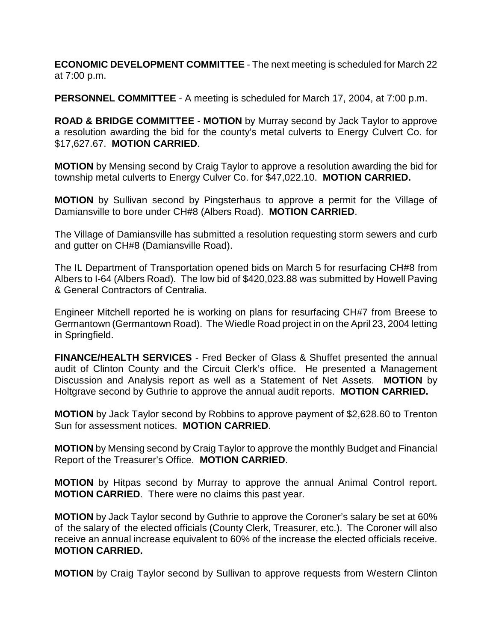**ECONOMIC DEVELOPMENT COMMITTEE** - The next meeting is scheduled for March 22 at 7:00 p.m.

**PERSONNEL COMMITTEE** - A meeting is scheduled for March 17, 2004, at 7:00 p.m.

**ROAD & BRIDGE COMMITTEE** - **MOTION** by Murray second by Jack Taylor to approve a resolution awarding the bid for the county's metal culverts to Energy Culvert Co. for \$17,627.67. **MOTION CARRIED**.

**MOTION** by Mensing second by Craig Taylor to approve a resolution awarding the bid for township metal culverts to Energy Culver Co. for \$47,022.10. **MOTION CARRIED.**

**MOTION** by Sullivan second by Pingsterhaus to approve a permit for the Village of Damiansville to bore under CH#8 (Albers Road). **MOTION CARRIED**.

The Village of Damiansville has submitted a resolution requesting storm sewers and curb and gutter on CH#8 (Damiansville Road).

The IL Department of Transportation opened bids on March 5 for resurfacing CH#8 from Albers to I-64 (Albers Road). The low bid of \$420,023.88 was submitted by Howell Paving & General Contractors of Centralia.

Engineer Mitchell reported he is working on plans for resurfacing CH#7 from Breese to Germantown (Germantown Road). The Wiedle Road project in on the April 23, 2004 letting in Springfield.

**FINANCE/HEALTH SERVICES** - Fred Becker of Glass & Shuffet presented the annual audit of Clinton County and the Circuit Clerk's office. He presented a Management Discussion and Analysis report as well as a Statement of Net Assets. **MOTION** by Holtgrave second by Guthrie to approve the annual audit reports. **MOTION CARRIED.**

**MOTION** by Jack Taylor second by Robbins to approve payment of \$2,628.60 to Trenton Sun for assessment notices. **MOTION CARRIED**.

**MOTION** by Mensing second by Craig Taylor to approve the monthly Budget and Financial Report of the Treasurer's Office. **MOTION CARRIED**.

**MOTION** by Hitpas second by Murray to approve the annual Animal Control report. **MOTION CARRIED**. There were no claims this past year.

**MOTION** by Jack Taylor second by Guthrie to approve the Coroner's salary be set at 60% of the salary of the elected officials (County Clerk, Treasurer, etc.). The Coroner will also receive an annual increase equivalent to 60% of the increase the elected officials receive. **MOTION CARRIED.**

**MOTION** by Craig Taylor second by Sullivan to approve requests from Western Clinton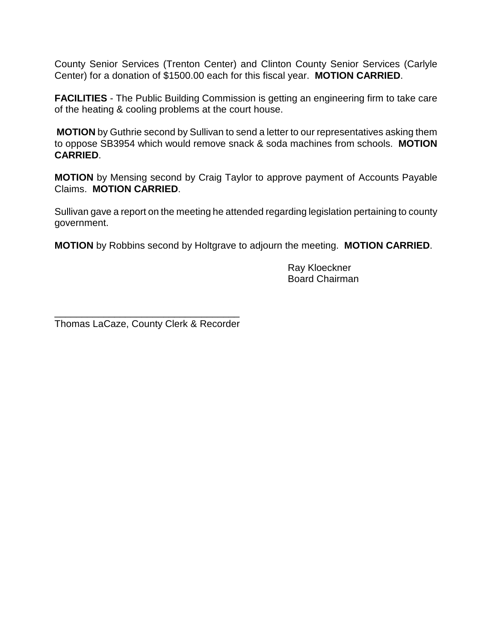County Senior Services (Trenton Center) and Clinton County Senior Services (Carlyle Center) for a donation of \$1500.00 each for this fiscal year. **MOTION CARRIED**.

**FACILITIES** - The Public Building Commission is getting an engineering firm to take care of the heating & cooling problems at the court house.

**MOTION** by Guthrie second by Sullivan to send a letter to our representatives asking them to oppose SB3954 which would remove snack & soda machines from schools. **MOTION CARRIED**.

**MOTION** by Mensing second by Craig Taylor to approve payment of Accounts Payable Claims. **MOTION CARRIED**.

Sullivan gave a report on the meeting he attended regarding legislation pertaining to county government.

**MOTION** by Robbins second by Holtgrave to adjourn the meeting. **MOTION CARRIED**.

Ray Kloeckner Board Chairman

\_\_\_\_\_\_\_\_\_\_\_\_\_\_\_\_\_\_\_\_\_\_\_\_\_\_\_\_\_\_\_\_\_\_ Thomas LaCaze, County Clerk & Recorder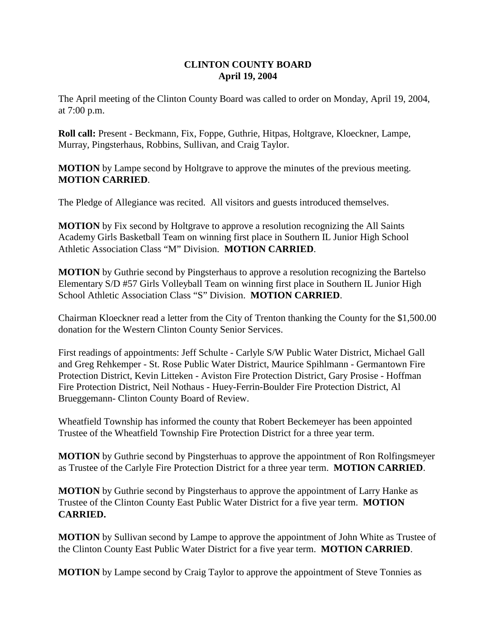## **CLINTON COUNTY BOARD April 19, 2004**

The April meeting of the Clinton County Board was called to order on Monday, April 19, 2004, at 7:00 p.m.

**Roll call:** Present - Beckmann, Fix, Foppe, Guthrie, Hitpas, Holtgrave, Kloeckner, Lampe, Murray, Pingsterhaus, Robbins, Sullivan, and Craig Taylor.

**MOTION** by Lampe second by Holtgrave to approve the minutes of the previous meeting. **MOTION CARRIED**.

The Pledge of Allegiance was recited. All visitors and guests introduced themselves.

**MOTION** by Fix second by Holtgrave to approve a resolution recognizing the All Saints Academy Girls Basketball Team on winning first place in Southern IL Junior High School Athletic Association Class "M" Division. **MOTION CARRIED**.

**MOTION** by Guthrie second by Pingsterhaus to approve a resolution recognizing the Bartelso Elementary S/D #57 Girls Volleyball Team on winning first place in Southern IL Junior High School Athletic Association Class "S" Division. **MOTION CARRIED**.

Chairman Kloeckner read a letter from the City of Trenton thanking the County for the \$1,500.00 donation for the Western Clinton County Senior Services.

First readings of appointments: Jeff Schulte - Carlyle S/W Public Water District, Michael Gall and Greg Rehkemper - St. Rose Public Water District, Maurice Spihlmann - Germantown Fire Protection District, Kevin Litteken - Aviston Fire Protection District, Gary Prosise - Hoffman Fire Protection District, Neil Nothaus - Huey-Ferrin-Boulder Fire Protection District, Al Brueggemann- Clinton County Board of Review.

Wheatfield Township has informed the county that Robert Beckemeyer has been appointed Trustee of the Wheatfield Township Fire Protection District for a three year term.

**MOTION** by Guthrie second by Pingsterhuas to approve the appointment of Ron Rolfingsmeyer as Trustee of the Carlyle Fire Protection District for a three year term. **MOTION CARRIED**.

**MOTION** by Guthrie second by Pingsterhaus to approve the appointment of Larry Hanke as Trustee of the Clinton County East Public Water District for a five year term. **MOTION CARRIED.**

**MOTION** by Sullivan second by Lampe to approve the appointment of John White as Trustee of the Clinton County East Public Water District for a five year term. **MOTION CARRIED**.

**MOTION** by Lampe second by Craig Taylor to approve the appointment of Steve Tonnies as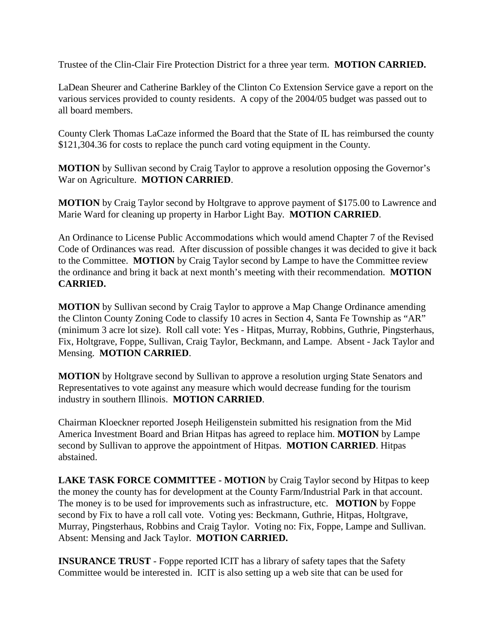Trustee of the Clin-Clair Fire Protection District for a three year term. **MOTION CARRIED.**

LaDean Sheurer and Catherine Barkley of the Clinton Co Extension Service gave a report on the various services provided to county residents. A copy of the 2004/05 budget was passed out to all board members.

County Clerk Thomas LaCaze informed the Board that the State of IL has reimbursed the county \$121,304.36 for costs to replace the punch card voting equipment in the County.

**MOTION** by Sullivan second by Craig Taylor to approve a resolution opposing the Governor's War on Agriculture. **MOTION CARRIED**.

**MOTION** by Craig Taylor second by Holtgrave to approve payment of \$175.00 to Lawrence and Marie Ward for cleaning up property in Harbor Light Bay. **MOTION CARRIED**.

An Ordinance to License Public Accommodations which would amend Chapter 7 of the Revised Code of Ordinances was read. After discussion of possible changes it was decided to give it back to the Committee. **MOTION** by Craig Taylor second by Lampe to have the Committee review the ordinance and bring it back at next month's meeting with their recommendation. **MOTION CARRIED.** 

**MOTION** by Sullivan second by Craig Taylor to approve a Map Change Ordinance amending the Clinton County Zoning Code to classify 10 acres in Section 4, Santa Fe Township as "AR" (minimum 3 acre lot size). Roll call vote: Yes - Hitpas, Murray, Robbins, Guthrie, Pingsterhaus, Fix, Holtgrave, Foppe, Sullivan, Craig Taylor, Beckmann, and Lampe. Absent - Jack Taylor and Mensing. **MOTION CARRIED**.

**MOTION** by Holtgrave second by Sullivan to approve a resolution urging State Senators and Representatives to vote against any measure which would decrease funding for the tourism industry in southern Illinois. **MOTION CARRIED**.

Chairman Kloeckner reported Joseph Heiligenstein submitted his resignation from the Mid America Investment Board and Brian Hitpas has agreed to replace him. **MOTION** by Lampe second by Sullivan to approve the appointment of Hitpas. **MOTION CARRIED**. Hitpas abstained.

**LAKE TASK FORCE COMMITTEE - MOTION** by Craig Taylor second by Hitpas to keep the money the county has for development at the County Farm/Industrial Park in that account. The money is to be used for improvements such as infrastructure, etc. **MOTION** by Foppe second by Fix to have a roll call vote. Voting yes: Beckmann, Guthrie, Hitpas, Holtgrave, Murray, Pingsterhaus, Robbins and Craig Taylor. Voting no: Fix, Foppe, Lampe and Sullivan. Absent: Mensing and Jack Taylor. **MOTION CARRIED.**

**INSURANCE TRUST** - Foppe reported ICIT has a library of safety tapes that the Safety Committee would be interested in. ICIT is also setting up a web site that can be used for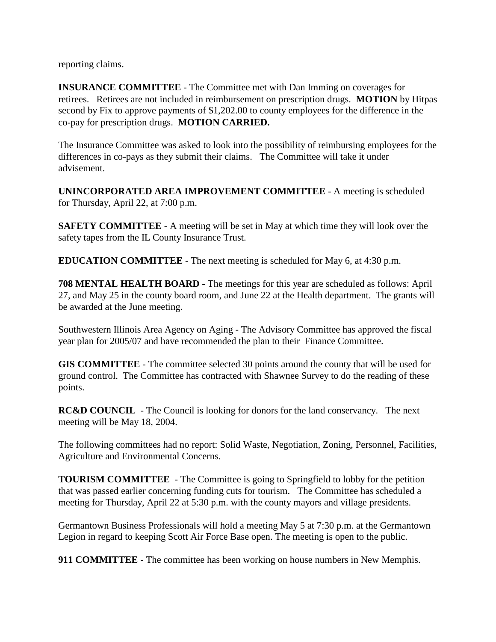reporting claims.

**INSURANCE COMMITTEE** - The Committee met with Dan Imming on coverages for retirees. Retirees are not included in reimbursement on prescription drugs. **MOTION** by Hitpas second by Fix to approve payments of \$1,202.00 to county employees for the difference in the co-pay for prescription drugs. **MOTION CARRIED.** 

The Insurance Committee was asked to look into the possibility of reimbursing employees for the differences in co-pays as they submit their claims. The Committee will take it under advisement.

**UNINCORPORATED AREA IMPROVEMENT COMMITTEE** - A meeting is scheduled for Thursday, April 22, at 7:00 p.m.

**SAFETY COMMITTEE** - A meeting will be set in May at which time they will look over the safety tapes from the IL County Insurance Trust.

**EDUCATION COMMITTEE** - The next meeting is scheduled for May 6, at 4:30 p.m.

**708 MENTAL HEALTH BOARD** - The meetings for this year are scheduled as follows: April 27, and May 25 in the county board room, and June 22 at the Health department. The grants will be awarded at the June meeting.

Southwestern Illinois Area Agency on Aging - The Advisory Committee has approved the fiscal year plan for 2005/07 and have recommended the plan to their Finance Committee.

**GIS COMMITTEE** - The committee selected 30 points around the county that will be used for ground control. The Committee has contracted with Shawnee Survey to do the reading of these points.

**RC&D COUNCIL** - The Council is looking for donors for the land conservancy. The next meeting will be May 18, 2004.

The following committees had no report: Solid Waste, Negotiation, Zoning, Personnel, Facilities, Agriculture and Environmental Concerns.

**TOURISM COMMITTEE** - The Committee is going to Springfield to lobby for the petition that was passed earlier concerning funding cuts for tourism. The Committee has scheduled a meeting for Thursday, April 22 at 5:30 p.m. with the county mayors and village presidents.

Germantown Business Professionals will hold a meeting May 5 at 7:30 p.m. at the Germantown Legion in regard to keeping Scott Air Force Base open. The meeting is open to the public.

**911 COMMITTEE** - The committee has been working on house numbers in New Memphis.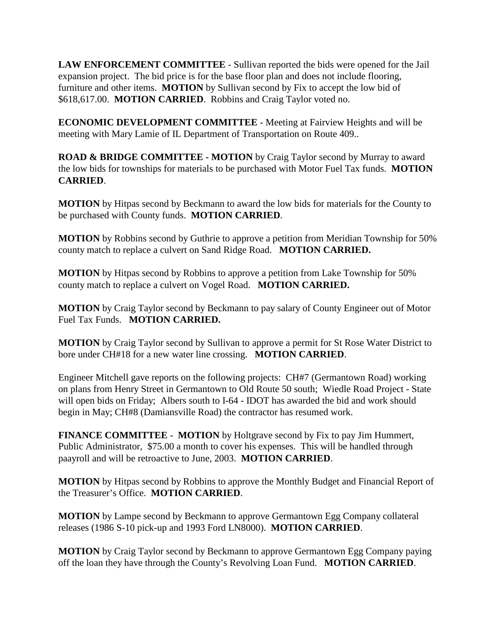**LAW ENFORCEMENT COMMITTEE** - Sullivan reported the bids were opened for the Jail expansion project. The bid price is for the base floor plan and does not include flooring, furniture and other items. **MOTION** by Sullivan second by Fix to accept the low bid of \$618,617.00. **MOTION CARRIED**. Robbins and Craig Taylor voted no.

**ECONOMIC DEVELOPMENT COMMITTEE** - Meeting at Fairview Heights and will be meeting with Mary Lamie of IL Department of Transportation on Route 409..

**ROAD & BRIDGE COMMITTEE - MOTION** by Craig Taylor second by Murray to award the low bids for townships for materials to be purchased with Motor Fuel Tax funds. **MOTION CARRIED**.

**MOTION** by Hitpas second by Beckmann to award the low bids for materials for the County to be purchased with County funds. **MOTION CARRIED**.

**MOTION** by Robbins second by Guthrie to approve a petition from Meridian Township for 50% county match to replace a culvert on Sand Ridge Road. **MOTION CARRIED.**

**MOTION** by Hitpas second by Robbins to approve a petition from Lake Township for 50% county match to replace a culvert on Vogel Road. **MOTION CARRIED.**

**MOTION** by Craig Taylor second by Beckmann to pay salary of County Engineer out of Motor Fuel Tax Funds. **MOTION CARRIED.**

**MOTION** by Craig Taylor second by Sullivan to approve a permit for St Rose Water District to bore under CH#18 for a new water line crossing. **MOTION CARRIED**.

Engineer Mitchell gave reports on the following projects: CH#7 (Germantown Road) working on plans from Henry Street in Germantown to Old Route 50 south; Wiedle Road Project - State will open bids on Friday; Albers south to I-64 - IDOT has awarded the bid and work should begin in May; CH#8 (Damiansville Road) the contractor has resumed work.

**FINANCE COMMITTEE** - **MOTION** by Holtgrave second by Fix to pay Jim Hummert, Public Administrator, \$75.00 a month to cover his expenses. This will be handled through paayroll and will be retroactive to June, 2003. **MOTION CARRIED**.

**MOTION** by Hitpas second by Robbins to approve the Monthly Budget and Financial Report of the Treasurer's Office. **MOTION CARRIED**.

**MOTION** by Lampe second by Beckmann to approve Germantown Egg Company collateral releases (1986 S-10 pick-up and 1993 Ford LN8000). **MOTION CARRIED**.

**MOTION** by Craig Taylor second by Beckmann to approve Germantown Egg Company paying off the loan they have through the County's Revolving Loan Fund. **MOTION CARRIED**.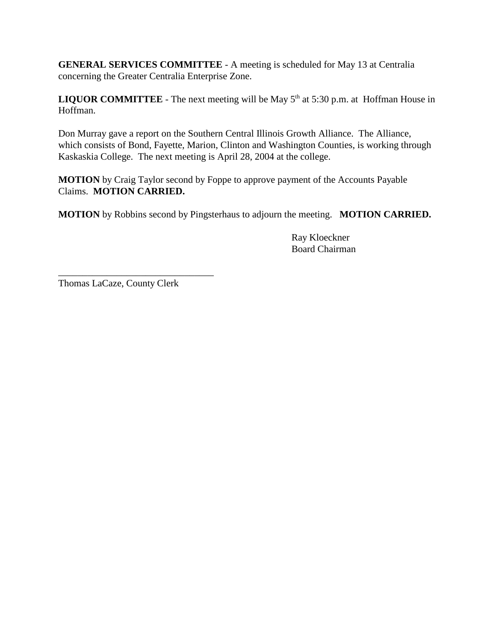**GENERAL SERVICES COMMITTEE** - A meeting is scheduled for May 13 at Centralia concerning the Greater Centralia Enterprise Zone.

**LIQUOR COMMITTEE** - The next meeting will be May  $5<sup>th</sup>$  at  $5:30$  p.m. at Hoffman House in Hoffman.

Don Murray gave a report on the Southern Central Illinois Growth Alliance. The Alliance, which consists of Bond, Fayette, Marion, Clinton and Washington Counties, is working through Kaskaskia College. The next meeting is April 28, 2004 at the college.

**MOTION** by Craig Taylor second by Foppe to approve payment of the Accounts Payable Claims. **MOTION CARRIED.**

**MOTION** by Robbins second by Pingsterhaus to adjourn the meeting. **MOTION CARRIED.**

Ray Kloeckner Board Chairman

Thomas LaCaze, County Clerk

\_\_\_\_\_\_\_\_\_\_\_\_\_\_\_\_\_\_\_\_\_\_\_\_\_\_\_\_\_\_\_\_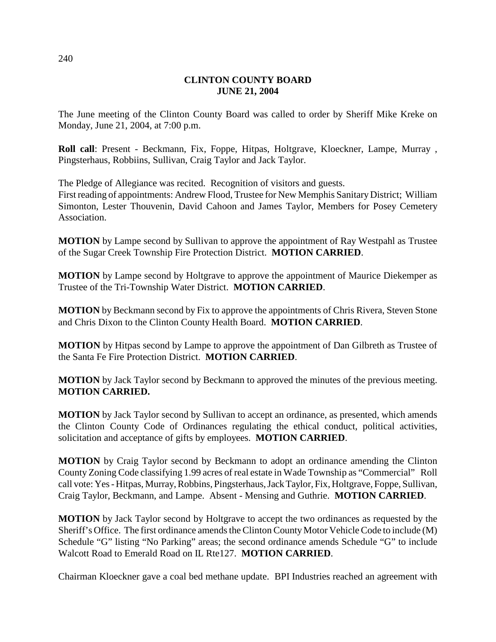## **CLINTON COUNTY BOARD JUNE 21, 2004**

The June meeting of the Clinton County Board was called to order by Sheriff Mike Kreke on Monday, June 21, 2004, at 7:00 p.m.

**Roll call**: Present - Beckmann, Fix, Foppe, Hitpas, Holtgrave, Kloeckner, Lampe, Murray , Pingsterhaus, Robbiins, Sullivan, Craig Taylor and Jack Taylor.

The Pledge of Allegiance was recited. Recognition of visitors and guests. First reading of appointments: Andrew Flood, Trustee for New Memphis Sanitary District; William Simonton, Lester Thouvenin, David Cahoon and James Taylor, Members for Posey Cemetery Association.

**MOTION** by Lampe second by Sullivan to approve the appointment of Ray Westpahl as Trustee of the Sugar Creek Township Fire Protection District. **MOTION CARRIED**.

**MOTION** by Lampe second by Holtgrave to approve the appointment of Maurice Diekemper as Trustee of the Tri-Township Water District. **MOTION CARRIED**.

**MOTION** by Beckmann second by Fix to approve the appointments of Chris Rivera, Steven Stone and Chris Dixon to the Clinton County Health Board. **MOTION CARRIED**.

**MOTION** by Hitpas second by Lampe to approve the appointment of Dan Gilbreth as Trustee of the Santa Fe Fire Protection District. **MOTION CARRIED**.

**MOTION** by Jack Taylor second by Beckmann to approved the minutes of the previous meeting. **MOTION CARRIED.** 

**MOTION** by Jack Taylor second by Sullivan to accept an ordinance, as presented, which amends the Clinton County Code of Ordinances regulating the ethical conduct, political activities, solicitation and acceptance of gifts by employees. **MOTION CARRIED**.

**MOTION** by Craig Taylor second by Beckmann to adopt an ordinance amending the Clinton County Zoning Code classifying 1.99 acres of real estate in Wade Township as "Commercial" Roll call vote: Yes - Hitpas, Murray, Robbins, Pingsterhaus, Jack Taylor, Fix, Holtgrave, Foppe, Sullivan, Craig Taylor, Beckmann, and Lampe. Absent - Mensing and Guthrie. **MOTION CARRIED**.

**MOTION** by Jack Taylor second by Holtgrave to accept the two ordinances as requested by the Sheriff's Office. The first ordinance amends the Clinton County Motor Vehicle Code to include (M) Schedule "G" listing "No Parking" areas; the second ordinance amends Schedule "G" to include Walcott Road to Emerald Road on IL Rte127. **MOTION CARRIED**.

Chairman Kloeckner gave a coal bed methane update. BPI Industries reached an agreement with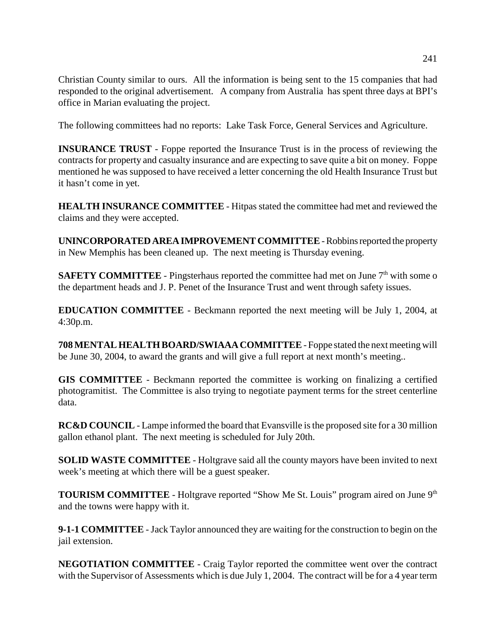Christian County similar to ours. All the information is being sent to the 15 companies that had responded to the original advertisement. A company from Australia has spent three days at BPI's office in Marian evaluating the project.

The following committees had no reports: Lake Task Force, General Services and Agriculture.

**INSURANCE TRUST** - Foppe reported the Insurance Trust is in the process of reviewing the contracts for property and casualty insurance and are expecting to save quite a bit on money. Foppe mentioned he was supposed to have received a letter concerning the old Health Insurance Trust but it hasn't come in yet.

**HEALTH INSURANCE COMMITTEE** - Hitpas stated the committee had met and reviewed the claims and they were accepted.

**UNINCORPORATED AREA IMPROVEMENT COMMITTEE** - Robbins reported the property in New Memphis has been cleaned up. The next meeting is Thursday evening.

**SAFETY COMMITTEE** - Pingsterhaus reported the committee had met on June  $7<sup>th</sup>$  with some o the department heads and J. P. Penet of the Insurance Trust and went through safety issues.

**EDUCATION COMMITTEE** - Beckmann reported the next meeting will be July 1, 2004, at 4:30p.m.

**708 MENTAL HEALTH BOARD/SWIAAA COMMITTEE** - Foppe stated the next meeting will be June 30, 2004, to award the grants and will give a full report at next month's meeting..

**GIS COMMITTEE** - Beckmann reported the committee is working on finalizing a certified photogramitist. The Committee is also trying to negotiate payment terms for the street centerline data.

**RC&D COUNCIL** - Lampe informed the board that Evansville is the proposed site for a 30 million gallon ethanol plant. The next meeting is scheduled for July 20th.

**SOLID WASTE COMMITTEE** - Holtgrave said all the county mayors have been invited to next week's meeting at which there will be a guest speaker.

**TOURISM COMMITTEE** - Holtgrave reported "Show Me St. Louis" program aired on June 9<sup>th</sup> and the towns were happy with it.

**9-1-1 COMMITTEE** - Jack Taylor announced they are waiting for the construction to begin on the jail extension.

**NEGOTIATION COMMITTEE** - Craig Taylor reported the committee went over the contract with the Supervisor of Assessments which is due July 1, 2004. The contract will be for a 4 year term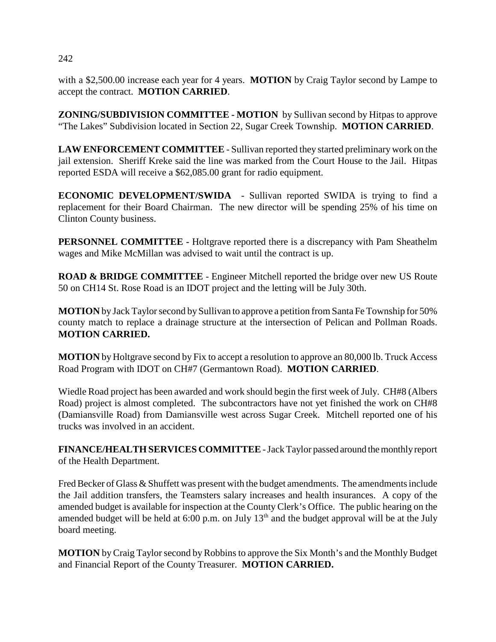with a \$2,500.00 increase each year for 4 years. **MOTION** by Craig Taylor second by Lampe to accept the contract. **MOTION CARRIED**.

**ZONING/SUBDIVISION COMMITTEE - MOTION** by Sullivan second by Hitpas to approve "The Lakes" Subdivision located in Section 22, Sugar Creek Township. **MOTION CARRIED**.

**LAW ENFORCEMENT COMMITTEE** - Sullivan reported they started preliminary work on the jail extension. Sheriff Kreke said the line was marked from the Court House to the Jail. Hitpas reported ESDA will receive a \$62,085.00 grant for radio equipment.

**ECONOMIC DEVELOPMENT/SWIDA** - Sullivan reported SWIDA is trying to find a replacement for their Board Chairman. The new director will be spending 25% of his time on Clinton County business.

**PERSONNEL COMMITTEE -** Holtgrave reported there is a discrepancy with Pam Sheathelm wages and Mike McMillan was advised to wait until the contract is up.

**ROAD & BRIDGE COMMITTEE** - Engineer Mitchell reported the bridge over new US Route 50 on CH14 St. Rose Road is an IDOT project and the letting will be July 30th.

**MOTION** by Jack Taylor second by Sullivan to approve a petition from Santa Fe Township for 50% county match to replace a drainage structure at the intersection of Pelican and Pollman Roads. **MOTION CARRIED.**

**MOTION** by Holtgrave second by Fix to accept a resolution to approve an 80,000 lb. Truck Access Road Program with IDOT on CH#7 (Germantown Road). **MOTION CARRIED**.

Wiedle Road project has been awarded and work should begin the first week of July. CH#8 (Albers Road) project is almost completed. The subcontractors have not yet finished the work on CH#8 (Damiansville Road) from Damiansville west across Sugar Creek. Mitchell reported one of his trucks was involved in an accident.

**FINANCE/HEALTH SERVICES COMMITTEE** - Jack Taylor passed around the monthly report of the Health Department.

Fred Becker of Glass & Shuffett was present with the budget amendments. The amendments include the Jail addition transfers, the Teamsters salary increases and health insurances. A copy of the amended budget is available for inspection at the County Clerk's Office. The public hearing on the amended budget will be held at  $6:00$  p.m. on July  $13<sup>th</sup>$  and the budget approval will be at the July board meeting.

**MOTION** by Craig Taylor second by Robbins to approve the Six Month's and the Monthly Budget and Financial Report of the County Treasurer. **MOTION CARRIED.**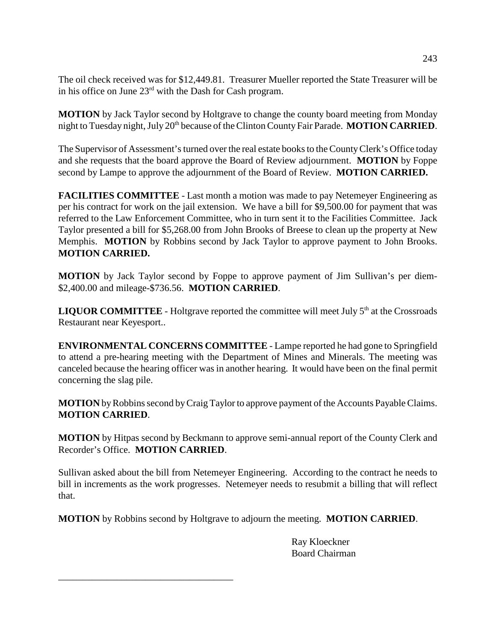The oil check received was for \$12,449.81. Treasurer Mueller reported the State Treasurer will be in his office on June 23rd with the Dash for Cash program.

**MOTION** by Jack Taylor second by Holtgrave to change the county board meeting from Monday night to Tuesday night, July 20<sup>th</sup> because of the Clinton County Fair Parade. **MOTION CARRIED**.

The Supervisor of Assessment's turned over the real estate books to the County Clerk's Office today and she requests that the board approve the Board of Review adjournment. **MOTION** by Foppe second by Lampe to approve the adjournment of the Board of Review. **MOTION CARRIED.**

**FACILITIES COMMITTEE** - Last month a motion was made to pay Netemeyer Engineering as per his contract for work on the jail extension. We have a bill for \$9,500.00 for payment that was referred to the Law Enforcement Committee, who in turn sent it to the Facilities Committee. Jack Taylor presented a bill for \$5,268.00 from John Brooks of Breese to clean up the property at New Memphis. **MOTION** by Robbins second by Jack Taylor to approve payment to John Brooks. **MOTION CARRIED.**

**MOTION** by Jack Taylor second by Foppe to approve payment of Jim Sullivan's per diem- \$2,400.00 and mileage-\$736.56. **MOTION CARRIED**.

**LIQUOR COMMITTEE** - Holtgrave reported the committee will meet July  $5<sup>th</sup>$  at the Crossroads Restaurant near Keyesport..

**ENVIRONMENTAL CONCERNS COMMITTEE** - Lampe reported he had gone to Springfield to attend a pre-hearing meeting with the Department of Mines and Minerals. The meeting was canceled because the hearing officer was in another hearing. It would have been on the final permit concerning the slag pile.

**MOTION** by Robbins second by Craig Taylor to approve payment of the Accounts Payable Claims. **MOTION CARRIED**.

**MOTION** by Hitpas second by Beckmann to approve semi-annual report of the County Clerk and Recorder's Office. **MOTION CARRIED**.

Sullivan asked about the bill from Netemeyer Engineering. According to the contract he needs to bill in increments as the work progresses. Netemeyer needs to resubmit a billing that will reflect that.

**MOTION** by Robbins second by Holtgrave to adjourn the meeting. **MOTION CARRIED**.

\_\_\_\_\_\_\_\_\_\_\_\_\_\_\_\_\_\_\_\_\_\_\_\_\_\_\_\_\_\_\_\_\_\_\_\_

Ray Kloeckner Board Chairman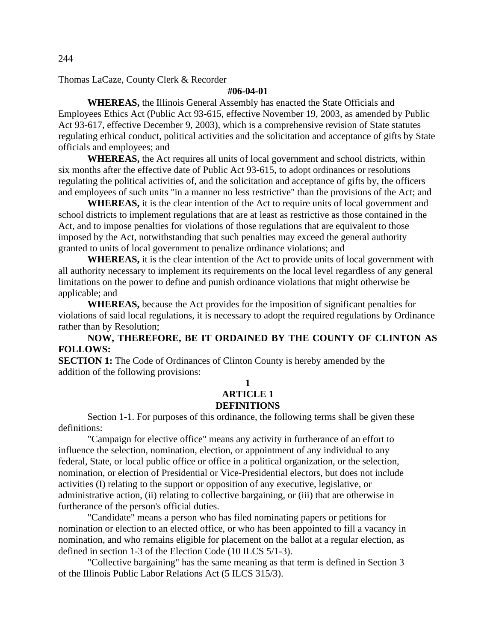Thomas LaCaze, County Clerk & Recorder

#### **#06-04-01**

**WHEREAS,** the Illinois General Assembly has enacted the State Officials and Employees Ethics Act (Public Act 93-615, effective November 19, 2003, as amended by Public Act 93-617, effective December 9, 2003), which is a comprehensive revision of State statutes regulating ethical conduct, political activities and the solicitation and acceptance of gifts by State officials and employees; and

**WHEREAS,** the Act requires all units of local government and school districts, within six months after the effective date of Public Act 93-615, to adopt ordinances or resolutions regulating the political activities of, and the solicitation and acceptance of gifts by, the officers and employees of such units "in a manner no less restrictive" than the provisions of the Act; and

**WHEREAS,** it is the clear intention of the Act to require units of local government and school districts to implement regulations that are at least as restrictive as those contained in the Act, and to impose penalties for violations of those regulations that are equivalent to those imposed by the Act, notwithstanding that such penalties may exceed the general authority granted to units of local government to penalize ordinance violations; and

**WHEREAS,** it is the clear intention of the Act to provide units of local government with all authority necessary to implement its requirements on the local level regardless of any general limitations on the power to define and punish ordinance violations that might otherwise be applicable; and

**WHEREAS,** because the Act provides for the imposition of significant penalties for violations of said local regulations, it is necessary to adopt the required regulations by Ordinance rather than by Resolution;

**NOW, THEREFORE, BE IT ORDAINED BY THE COUNTY OF CLINTON AS FOLLOWS:**

**SECTION 1:** The Code of Ordinances of Clinton County is hereby amended by the addition of the following provisions:

## **1 ARTICLE 1 DEFINITIONS**

Section 1-1. For purposes of this ordinance, the following terms shall be given these definitions:

"Campaign for elective office" means any activity in furtherance of an effort to influence the selection, nomination, election, or appointment of any individual to any federal, State, or local public office or office in a political organization, or the selection, nomination, or election of Presidential or Vice-Presidential electors, but does not include activities (I) relating to the support or opposition of any executive, legislative, or administrative action, (ii) relating to collective bargaining, or (iii) that are otherwise in furtherance of the person's official duties.

"Candidate" means a person who has filed nominating papers or petitions for nomination or election to an elected office, or who has been appointed to fill a vacancy in nomination, and who remains eligible for placement on the ballot at a regular election, as defined in section 1-3 of the Election Code (10 ILCS 5/1-3).

"Collective bargaining" has the same meaning as that term is defined in Section 3 of the Illinois Public Labor Relations Act (5 ILCS 315/3).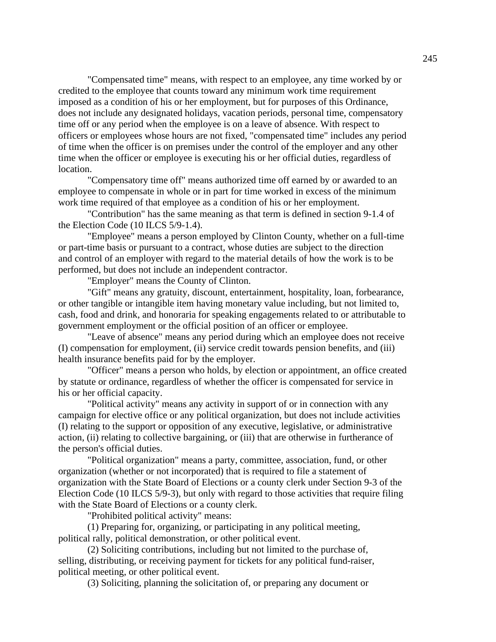"Compensated time" means, with respect to an employee, any time worked by or credited to the employee that counts toward any minimum work time requirement imposed as a condition of his or her employment, but for purposes of this Ordinance, does not include any designated holidays, vacation periods, personal time, compensatory time off or any period when the employee is on a leave of absence. With respect to officers or employees whose hours are not fixed, "compensated time" includes any period of time when the officer is on premises under the control of the employer and any other time when the officer or employee is executing his or her official duties, regardless of location.

"Compensatory time off" means authorized time off earned by or awarded to an employee to compensate in whole or in part for time worked in excess of the minimum work time required of that employee as a condition of his or her employment.

"Contribution" has the same meaning as that term is defined in section 9-1.4 of the Election Code (10 ILCS 5/9-1.4).

"Employee" means a person employed by Clinton County, whether on a full-time or part-time basis or pursuant to a contract, whose duties are subject to the direction and control of an employer with regard to the material details of how the work is to be performed, but does not include an independent contractor.

"Employer" means the County of Clinton.

"Gift" means any gratuity, discount, entertainment, hospitality, loan, forbearance, or other tangible or intangible item having monetary value including, but not limited to, cash, food and drink, and honoraria for speaking engagements related to or attributable to government employment or the official position of an officer or employee.

"Leave of absence" means any period during which an employee does not receive (I) compensation for employment, (ii) service credit towards pension benefits, and (iii) health insurance benefits paid for by the employer.

"Officer" means a person who holds, by election or appointment, an office created by statute or ordinance, regardless of whether the officer is compensated for service in his or her official capacity.

"Political activity" means any activity in support of or in connection with any campaign for elective office or any political organization, but does not include activities (I) relating to the support or opposition of any executive, legislative, or administrative action, (ii) relating to collective bargaining, or (iii) that are otherwise in furtherance of the person's official duties.

"Political organization" means a party, committee, association, fund, or other organization (whether or not incorporated) that is required to file a statement of organization with the State Board of Elections or a county clerk under Section 9-3 of the Election Code (10 ILCS 5/9-3), but only with regard to those activities that require filing with the State Board of Elections or a county clerk.

"Prohibited political activity" means:

(1) Preparing for, organizing, or participating in any political meeting, political rally, political demonstration, or other political event.

(2) Soliciting contributions, including but not limited to the purchase of, selling, distributing, or receiving payment for tickets for any political fund-raiser, political meeting, or other political event.

(3) Soliciting, planning the solicitation of, or preparing any document or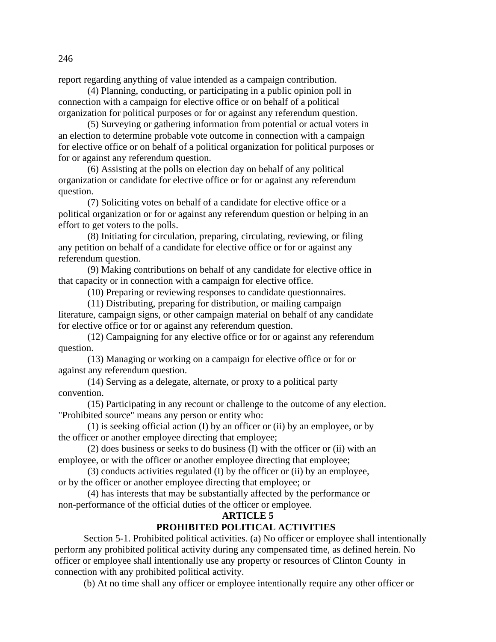report regarding anything of value intended as a campaign contribution.

(4) Planning, conducting, or participating in a public opinion poll in connection with a campaign for elective office or on behalf of a political organization for political purposes or for or against any referendum question.

(5) Surveying or gathering information from potential or actual voters in an election to determine probable vote outcome in connection with a campaign for elective office or on behalf of a political organization for political purposes or for or against any referendum question.

(6) Assisting at the polls on election day on behalf of any political organization or candidate for elective office or for or against any referendum question.

(7) Soliciting votes on behalf of a candidate for elective office or a political organization or for or against any referendum question or helping in an effort to get voters to the polls.

(8) Initiating for circulation, preparing, circulating, reviewing, or filing any petition on behalf of a candidate for elective office or for or against any referendum question.

(9) Making contributions on behalf of any candidate for elective office in that capacity or in connection with a campaign for elective office.

(10) Preparing or reviewing responses to candidate questionnaires.

(11) Distributing, preparing for distribution, or mailing campaign

literature, campaign signs, or other campaign material on behalf of any candidate for elective office or for or against any referendum question.

(12) Campaigning for any elective office or for or against any referendum question.

(13) Managing or working on a campaign for elective office or for or against any referendum question.

(14) Serving as a delegate, alternate, or proxy to a political party convention.

(15) Participating in any recount or challenge to the outcome of any election. "Prohibited source" means any person or entity who:

(1) is seeking official action (I) by an officer or (ii) by an employee, or by the officer or another employee directing that employee;

(2) does business or seeks to do business (I) with the officer or (ii) with an employee, or with the officer or another employee directing that employee;

(3) conducts activities regulated (I) by the officer or (ii) by an employee, or by the officer or another employee directing that employee; or

(4) has interests that may be substantially affected by the performance or non-performance of the official duties of the officer or employee.

## **ARTICLE 5**

## **PROHIBITED POLITICAL ACTIVITIES**

Section 5-1. Prohibited political activities. (a) No officer or employee shall intentionally perform any prohibited political activity during any compensated time, as defined herein. No officer or employee shall intentionally use any property or resources of Clinton County in connection with any prohibited political activity.

(b) At no time shall any officer or employee intentionally require any other officer or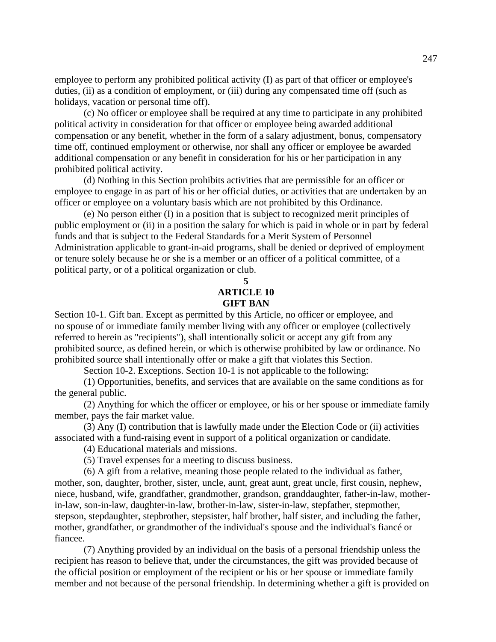employee to perform any prohibited political activity (I) as part of that officer or employee's duties, (ii) as a condition of employment, or (iii) during any compensated time off (such as holidays, vacation or personal time off).

(c) No officer or employee shall be required at any time to participate in any prohibited political activity in consideration for that officer or employee being awarded additional compensation or any benefit, whether in the form of a salary adjustment, bonus, compensatory time off, continued employment or otherwise, nor shall any officer or employee be awarded additional compensation or any benefit in consideration for his or her participation in any prohibited political activity.

(d) Nothing in this Section prohibits activities that are permissible for an officer or employee to engage in as part of his or her official duties, or activities that are undertaken by an officer or employee on a voluntary basis which are not prohibited by this Ordinance.

(e) No person either (I) in a position that is subject to recognized merit principles of public employment or (ii) in a position the salary for which is paid in whole or in part by federal funds and that is subject to the Federal Standards for a Merit System of Personnel Administration applicable to grant-in-aid programs, shall be denied or deprived of employment or tenure solely because he or she is a member or an officer of a political committee, of a political party, or of a political organization or club.

**5**

## **ARTICLE 10 GIFT BAN**

Section 10-1. Gift ban. Except as permitted by this Article, no officer or employee, and no spouse of or immediate family member living with any officer or employee (collectively referred to herein as "recipients"), shall intentionally solicit or accept any gift from any prohibited source, as defined herein, or which is otherwise prohibited by law or ordinance. No prohibited source shall intentionally offer or make a gift that violates this Section.

Section 10-2. Exceptions. Section 10-1 is not applicable to the following:

(1) Opportunities, benefits, and services that are available on the same conditions as for the general public.

(2) Anything for which the officer or employee, or his or her spouse or immediate family member, pays the fair market value.

(3) Any (I) contribution that is lawfully made under the Election Code or (ii) activities associated with a fund-raising event in support of a political organization or candidate.

(4) Educational materials and missions.

(5) Travel expenses for a meeting to discuss business.

(6) A gift from a relative, meaning those people related to the individual as father, mother, son, daughter, brother, sister, uncle, aunt, great aunt, great uncle, first cousin, nephew, niece, husband, wife, grandfather, grandmother, grandson, granddaughter, father-in-law, motherin-law, son-in-law, daughter-in-law, brother-in-law, sister-in-law, stepfather, stepmother, stepson, stepdaughter, stepbrother, stepsister, half brother, half sister, and including the father, mother, grandfather, or grandmother of the individual's spouse and the individual's fiancé or fiancee.

(7) Anything provided by an individual on the basis of a personal friendship unless the recipient has reason to believe that, under the circumstances, the gift was provided because of the official position or employment of the recipient or his or her spouse or immediate family member and not because of the personal friendship. In determining whether a gift is provided on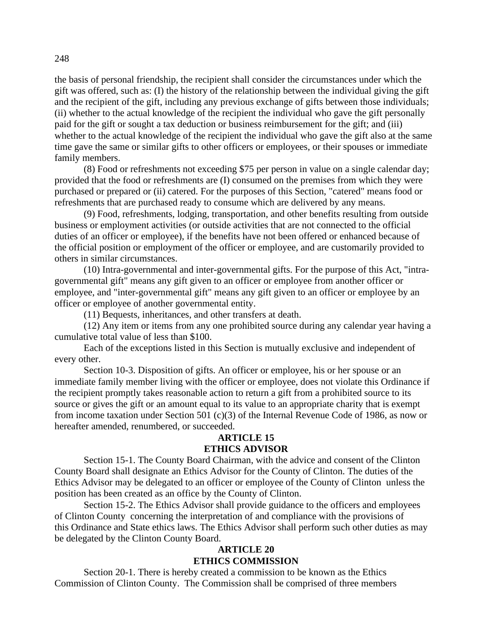the basis of personal friendship, the recipient shall consider the circumstances under which the gift was offered, such as: (I) the history of the relationship between the individual giving the gift and the recipient of the gift, including any previous exchange of gifts between those individuals; (ii) whether to the actual knowledge of the recipient the individual who gave the gift personally paid for the gift or sought a tax deduction or business reimbursement for the gift; and (iii) whether to the actual knowledge of the recipient the individual who gave the gift also at the same time gave the same or similar gifts to other officers or employees, or their spouses or immediate family members.

(8) Food or refreshments not exceeding \$75 per person in value on a single calendar day; provided that the food or refreshments are (I) consumed on the premises from which they were purchased or prepared or (ii) catered. For the purposes of this Section, "catered" means food or refreshments that are purchased ready to consume which are delivered by any means.

(9) Food, refreshments, lodging, transportation, and other benefits resulting from outside business or employment activities (or outside activities that are not connected to the official duties of an officer or employee), if the benefits have not been offered or enhanced because of the official position or employment of the officer or employee, and are customarily provided to others in similar circumstances.

(10) Intra-governmental and inter-governmental gifts. For the purpose of this Act, "intragovernmental gift" means any gift given to an officer or employee from another officer or employee, and "inter-governmental gift" means any gift given to an officer or employee by an officer or employee of another governmental entity.

(11) Bequests, inheritances, and other transfers at death.

(12) Any item or items from any one prohibited source during any calendar year having a cumulative total value of less than \$100.

Each of the exceptions listed in this Section is mutually exclusive and independent of every other.

Section 10-3. Disposition of gifts. An officer or employee, his or her spouse or an immediate family member living with the officer or employee, does not violate this Ordinance if the recipient promptly takes reasonable action to return a gift from a prohibited source to its source or gives the gift or an amount equal to its value to an appropriate charity that is exempt from income taxation under Section 501 (c)(3) of the Internal Revenue Code of 1986, as now or hereafter amended, renumbered, or succeeded.

## **ARTICLE 15 ETHICS ADVISOR**

Section 15-1. The County Board Chairman, with the advice and consent of the Clinton County Board shall designate an Ethics Advisor for the County of Clinton. The duties of the Ethics Advisor may be delegated to an officer or employee of the County of Clinton unless the position has been created as an office by the County of Clinton.

Section 15-2. The Ethics Advisor shall provide guidance to the officers and employees of Clinton County concerning the interpretation of and compliance with the provisions of this Ordinance and State ethics laws. The Ethics Advisor shall perform such other duties as may be delegated by the Clinton County Board.

## **ARTICLE 20 ETHICS COMMISSION**

Section 20-1. There is hereby created a commission to be known as the Ethics Commission of Clinton County. The Commission shall be comprised of three members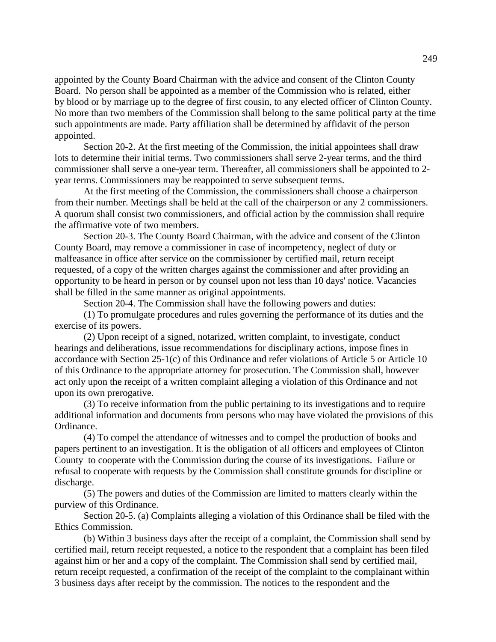appointed by the County Board Chairman with the advice and consent of the Clinton County Board. No person shall be appointed as a member of the Commission who is related, either by blood or by marriage up to the degree of first cousin, to any elected officer of Clinton County. No more than two members of the Commission shall belong to the same political party at the time such appointments are made. Party affiliation shall be determined by affidavit of the person appointed.

Section 20-2. At the first meeting of the Commission, the initial appointees shall draw lots to determine their initial terms. Two commissioners shall serve 2-year terms, and the third commissioner shall serve a one-year term. Thereafter, all commissioners shall be appointed to 2 year terms. Commissioners may be reappointed to serve subsequent terms.

At the first meeting of the Commission, the commissioners shall choose a chairperson from their number. Meetings shall be held at the call of the chairperson or any 2 commissioners. A quorum shall consist two commissioners, and official action by the commission shall require the affirmative vote of two members.

Section 20-3. The County Board Chairman, with the advice and consent of the Clinton County Board, may remove a commissioner in case of incompetency, neglect of duty or malfeasance in office after service on the commissioner by certified mail, return receipt requested, of a copy of the written charges against the commissioner and after providing an opportunity to be heard in person or by counsel upon not less than 10 days' notice. Vacancies shall be filled in the same manner as original appointments.

Section 20-4. The Commission shall have the following powers and duties:

(1) To promulgate procedures and rules governing the performance of its duties and the exercise of its powers.

(2) Upon receipt of a signed, notarized, written complaint, to investigate, conduct hearings and deliberations, issue recommendations for disciplinary actions, impose fines in accordance with Section 25-1(c) of this Ordinance and refer violations of Article 5 or Article 10 of this Ordinance to the appropriate attorney for prosecution. The Commission shall, however act only upon the receipt of a written complaint alleging a violation of this Ordinance and not upon its own prerogative.

(3) To receive information from the public pertaining to its investigations and to require additional information and documents from persons who may have violated the provisions of this Ordinance.

(4) To compel the attendance of witnesses and to compel the production of books and papers pertinent to an investigation. It is the obligation of all officers and employees of Clinton County to cooperate with the Commission during the course of its investigations. Failure or refusal to cooperate with requests by the Commission shall constitute grounds for discipline or discharge.

(5) The powers and duties of the Commission are limited to matters clearly within the purview of this Ordinance.

Section 20-5. (a) Complaints alleging a violation of this Ordinance shall be filed with the Ethics Commission.

(b) Within 3 business days after the receipt of a complaint, the Commission shall send by certified mail, return receipt requested, a notice to the respondent that a complaint has been filed against him or her and a copy of the complaint. The Commission shall send by certified mail, return receipt requested, a confirmation of the receipt of the complaint to the complainant within 3 business days after receipt by the commission. The notices to the respondent and the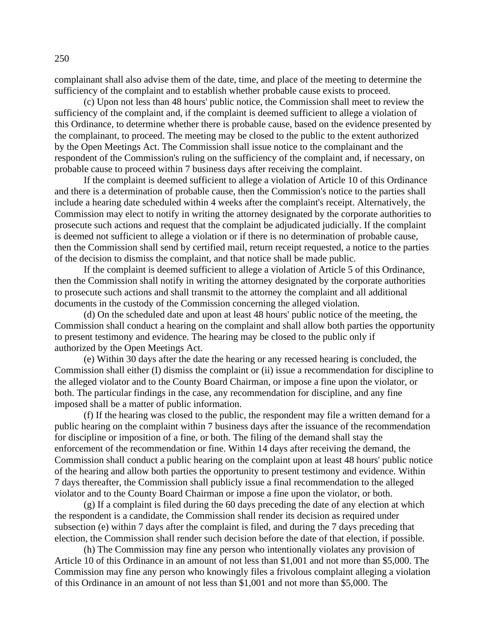complainant shall also advise them of the date, time, and place of the meeting to determine the sufficiency of the complaint and to establish whether probable cause exists to proceed.

(c) Upon not less than 48 hours' public notice, the Commission shall meet to review the sufficiency of the complaint and, if the complaint is deemed sufficient to allege a violation of this Ordinance, to determine whether there is probable cause, based on the evidence presented by the complainant, to proceed. The meeting may be closed to the public to the extent authorized by the Open Meetings Act. The Commission shall issue notice to the complainant and the respondent of the Commission's ruling on the sufficiency of the complaint and, if necessary, on probable cause to proceed within 7 business days after receiving the complaint.

If the complaint is deemed sufficient to allege a violation of Article 10 of this Ordinance and there is a determination of probable cause, then the Commission's notice to the parties shall include a hearing date scheduled within 4 weeks after the complaint's receipt. Alternatively, the Commission may elect to notify in writing the attorney designated by the corporate authorities to prosecute such actions and request that the complaint be adjudicated judicially. If the complaint is deemed not sufficient to allege a violation or if there is no determination of probable cause, then the Commission shall send by certified mail, return receipt requested, a notice to the parties of the decision to dismiss the complaint, and that notice shall be made public.

If the complaint is deemed sufficient to allege a violation of Article 5 of this Ordinance, then the Commission shall notify in writing the attorney designated by the corporate authorities to prosecute such actions and shall transmit to the attorney the complaint and all additional documents in the custody of the Commission concerning the alleged violation.

(d) On the scheduled date and upon at least 48 hours' public notice of the meeting, the Commission shall conduct a hearing on the complaint and shall allow both parties the opportunity to present testimony and evidence. The hearing may be closed to the public only if authorized by the Open Meetings Act.

(e) Within 30 days after the date the hearing or any recessed hearing is concluded, the Commission shall either (I) dismiss the complaint or (ii) issue a recommendation for discipline to the alleged violator and to the County Board Chairman, or impose a fine upon the violator, or both. The particular findings in the case, any recommendation for discipline, and any fine imposed shall be a matter of public information.

(f) If the hearing was closed to the public, the respondent may file a written demand for a public hearing on the complaint within 7 business days after the issuance of the recommendation for discipline or imposition of a fine, or both. The filing of the demand shall stay the enforcement of the recommendation or fine. Within 14 days after receiving the demand, the Commission shall conduct a public hearing on the complaint upon at least 48 hours' public notice of the hearing and allow both parties the opportunity to present testimony and evidence. Within 7 days thereafter, the Commission shall publicly issue a final recommendation to the alleged violator and to the County Board Chairman or impose a fine upon the violator, or both.

(g) If a complaint is filed during the 60 days preceding the date of any election at which the respondent is a candidate, the Commission shall render its decision as required under subsection (e) within 7 days after the complaint is filed, and during the 7 days preceding that election, the Commission shall render such decision before the date of that election, if possible.

(h) The Commission may fine any person who intentionally violates any provision of Article 10 of this Ordinance in an amount of not less than \$1,001 and not more than \$5,000. The Commission may fine any person who knowingly files a frivolous complaint alleging a violation of this Ordinance in an amount of not less than \$1,001 and not more than \$5,000. The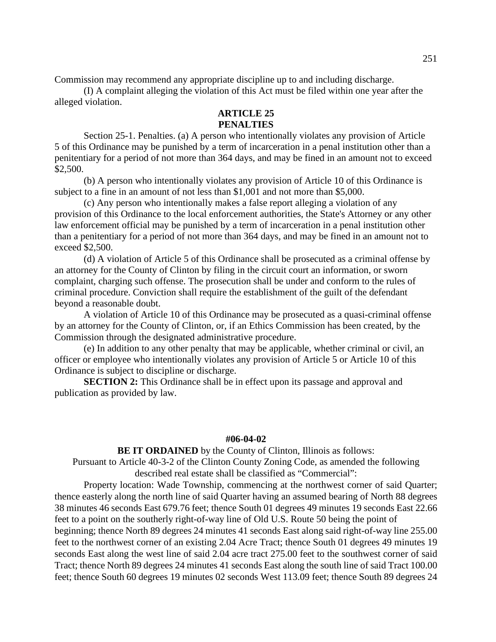Commission may recommend any appropriate discipline up to and including discharge.

(I) A complaint alleging the violation of this Act must be filed within one year after the alleged violation.

## **ARTICLE 25 PENALTIES**

Section 25-1. Penalties. (a) A person who intentionally violates any provision of Article 5 of this Ordinance may be punished by a term of incarceration in a penal institution other than a penitentiary for a period of not more than 364 days, and may be fined in an amount not to exceed \$2,500.

(b) A person who intentionally violates any provision of Article 10 of this Ordinance is subject to a fine in an amount of not less than \$1,001 and not more than \$5,000.

(c) Any person who intentionally makes a false report alleging a violation of any provision of this Ordinance to the local enforcement authorities, the State's Attorney or any other law enforcement official may be punished by a term of incarceration in a penal institution other than a penitentiary for a period of not more than 364 days, and may be fined in an amount not to exceed \$2,500.

(d) A violation of Article 5 of this Ordinance shall be prosecuted as a criminal offense by an attorney for the County of Clinton by filing in the circuit court an information, or sworn complaint, charging such offense. The prosecution shall be under and conform to the rules of criminal procedure. Conviction shall require the establishment of the guilt of the defendant beyond a reasonable doubt.

A violation of Article 10 of this Ordinance may be prosecuted as a quasi-criminal offense by an attorney for the County of Clinton, or, if an Ethics Commission has been created, by the Commission through the designated administrative procedure.

(e) In addition to any other penalty that may be applicable, whether criminal or civil, an officer or employee who intentionally violates any provision of Article 5 or Article 10 of this Ordinance is subject to discipline or discharge.

**SECTION 2:** This Ordinance shall be in effect upon its passage and approval and publication as provided by law.

#### **#06-04-02**

**BE IT ORDAINED** by the County of Clinton, Illinois as follows:

Pursuant to Article 40-3-2 of the Clinton County Zoning Code, as amended the following described real estate shall be classified as "Commercial":

Property location: Wade Township, commencing at the northwest corner of said Quarter; thence easterly along the north line of said Quarter having an assumed bearing of North 88 degrees 38 minutes 46 seconds East 679.76 feet; thence South 01 degrees 49 minutes 19 seconds East 22.66 feet to a point on the southerly right-of-way line of Old U.S. Route 50 being the point of beginning; thence North 89 degrees 24 minutes 41 seconds East along said right-of-way line 255.00 feet to the northwest corner of an existing 2.04 Acre Tract; thence South 01 degrees 49 minutes 19 seconds East along the west line of said 2.04 acre tract 275.00 feet to the southwest corner of said Tract; thence North 89 degrees 24 minutes 41 seconds East along the south line of said Tract 100.00 feet; thence South 60 degrees 19 minutes 02 seconds West 113.09 feet; thence South 89 degrees 24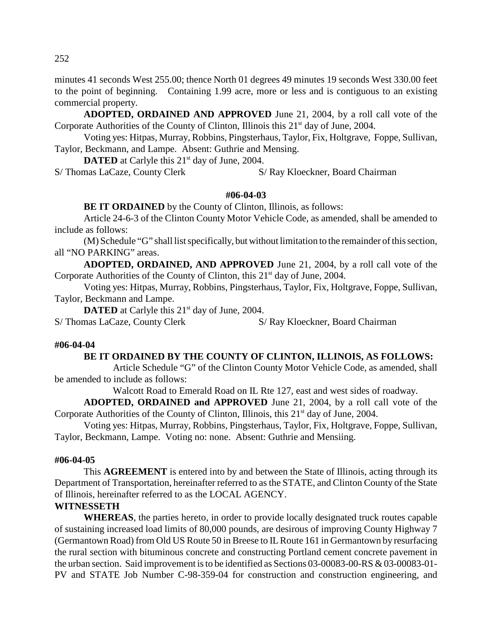minutes 41 seconds West 255.00; thence North 01 degrees 49 minutes 19 seconds West 330.00 feet to the point of beginning. Containing 1.99 acre, more or less and is contiguous to an existing commercial property.

**ADOPTED, ORDAINED AND APPROVED** June 21, 2004, by a roll call vote of the Corporate Authorities of the County of Clinton, Illinois this  $21<sup>st</sup>$  day of June, 2004.

Voting yes: Hitpas, Murray, Robbins, Pingsterhaus, Taylor, Fix, Holtgrave, Foppe, Sullivan, Taylor, Beckmann, and Lampe. Absent: Guthrie and Mensing.

**DATED** at Carlyle this 21<sup>st</sup> day of June, 2004. S/ Thomas LaCaze, County Clerk S/ Ray Kloeckner, Board Chairman

**#06-04-03**

**BE IT ORDAINED** by the County of Clinton, Illinois, as follows:

Article 24-6-3 of the Clinton County Motor Vehicle Code, as amended, shall be amended to include as follows:

(M) Schedule "G" shall list specifically, but without limitation to the remainder of this section, all "NO PARKING" areas.

**ADOPTED, ORDAINED, AND APPROVED** June 21, 2004, by a roll call vote of the Corporate Authorities of the County of Clinton, this  $21<sup>st</sup>$  day of June, 2004.

Voting yes: Hitpas, Murray, Robbins, Pingsterhaus, Taylor, Fix, Holtgrave, Foppe, Sullivan, Taylor, Beckmann and Lampe.

**DATED** at Carlyle this 21<sup>st</sup> day of June, 2004.

S/ Thomas LaCaze, County Clerk S/ Ray Kloeckner, Board Chairman

## **#06-04-04**

## **BE IT ORDAINED BY THE COUNTY OF CLINTON, ILLINOIS, AS FOLLOWS:**

Article Schedule "G" of the Clinton County Motor Vehicle Code, as amended, shall be amended to include as follows:

Walcott Road to Emerald Road on IL Rte 127, east and west sides of roadway.

**ADOPTED, ORDAINED and APPROVED** June 21, 2004, by a roll call vote of the Corporate Authorities of the County of Clinton, Illinois, this  $21<sup>st</sup>$  day of June, 2004.

Voting yes: Hitpas, Murray, Robbins, Pingsterhaus, Taylor, Fix, Holtgrave, Foppe, Sullivan, Taylor, Beckmann, Lampe. Voting no: none. Absent: Guthrie and Mensiing.

## **#06-04-05**

This **AGREEMENT** is entered into by and between the State of Illinois, acting through its Department of Transportation, hereinafter referred to as the STATE, and Clinton County of the State of Illinois, hereinafter referred to as the LOCAL AGENCY.

## **WITNESSETH**

**WHEREAS**, the parties hereto, in order to provide locally designated truck routes capable of sustaining increased load limits of 80,000 pounds, are desirous of improving County Highway 7 (Germantown Road) from Old US Route 50 in Breese to IL Route 161 in Germantown by resurfacing the rural section with bituminous concrete and constructing Portland cement concrete pavement in the urban section. Said improvement is to be identified as Sections 03-00083-00-RS & 03-00083-01- PV and STATE Job Number C-98-359-04 for construction and construction engineering, and

252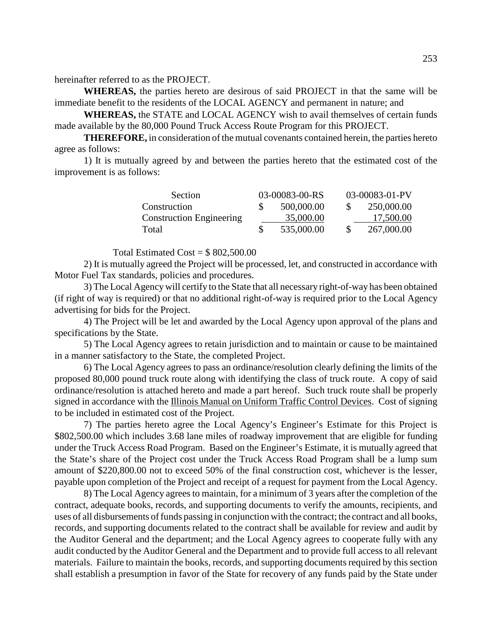hereinafter referred to as the PROJECT.

**WHEREAS,** the parties hereto are desirous of said PROJECT in that the same will be immediate benefit to the residents of the LOCAL AGENCY and permanent in nature; and

**WHEREAS,** the STATE and LOCAL AGENCY wish to avail themselves of certain funds made available by the 80,000 Pound Truck Access Route Program for this PROJECT.

**THEREFORE,** in consideration of the mutual covenants contained herein, the parties hereto agree as follows:

1) It is mutually agreed by and between the parties hereto that the estimated cost of the improvement is as follows:

| Section                         | 03-00083-00-RS |            | 03-00083-01-PV |            |
|---------------------------------|----------------|------------|----------------|------------|
| Construction                    |                | 500,000.00 |                | 250,000.00 |
| <b>Construction Engineering</b> |                | 35,000.00  |                | 17,500.00  |
| Total                           |                | 535,000.00 |                | 267,000.00 |

Total Estimated  $Cost = $802,500,00$ 

2) It is mutually agreed the Project will be processed, let, and constructed in accordance with Motor Fuel Tax standards, policies and procedures.

3) The Local Agency will certify to the State that all necessary right-of-way has been obtained (if right of way is required) or that no additional right-of-way is required prior to the Local Agency advertising for bids for the Project.

4) The Project will be let and awarded by the Local Agency upon approval of the plans and specifications by the State.

5) The Local Agency agrees to retain jurisdiction and to maintain or cause to be maintained in a manner satisfactory to the State, the completed Project.

6) The Local Agency agrees to pass an ordinance/resolution clearly defining the limits of the proposed 80,000 pound truck route along with identifying the class of truck route. A copy of said ordinance/resolution is attached hereto and made a part hereof. Such truck route shall be properly signed in accordance with the Illinois Manual on Uniform Traffic Control Devices. Cost of signing to be included in estimated cost of the Project.

7) The parties hereto agree the Local Agency's Engineer's Estimate for this Project is \$802,500.00 which includes 3.68 lane miles of roadway improvement that are eligible for funding under the Truck Access Road Program. Based on the Engineer's Estimate, it is mutually agreed that the State's share of the Project cost under the Truck Access Road Program shall be a lump sum amount of \$220,800.00 not to exceed 50% of the final construction cost, whichever is the lesser, payable upon completion of the Project and receipt of a request for payment from the Local Agency.

8) The Local Agency agrees to maintain, for a minimum of 3 years after the completion of the contract, adequate books, records, and supporting documents to verify the amounts, recipients, and uses of all disbursements of funds passing in conjunction with the contract; the contract and all books, records, and supporting documents related to the contract shall be available for review and audit by the Auditor General and the department; and the Local Agency agrees to cooperate fully with any audit conducted by the Auditor General and the Department and to provide full access to all relevant materials. Failure to maintain the books, records, and supporting documents required by this section shall establish a presumption in favor of the State for recovery of any funds paid by the State under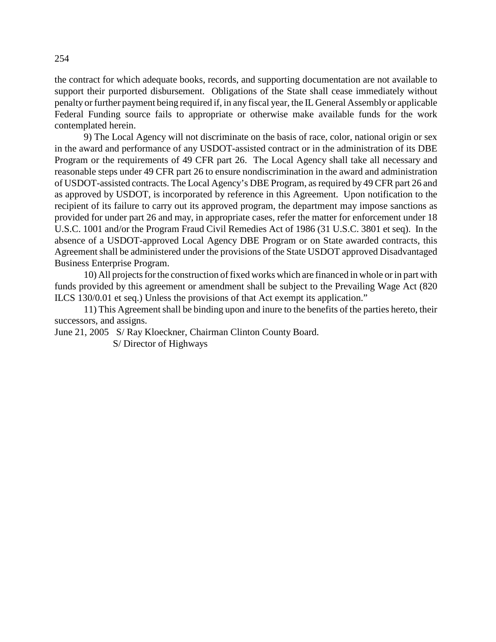the contract for which adequate books, records, and supporting documentation are not available to support their purported disbursement. Obligations of the State shall cease immediately without penalty or further payment being required if, in any fiscal year, the IL General Assembly or applicable Federal Funding source fails to appropriate or otherwise make available funds for the work contemplated herein.

9) The Local Agency will not discriminate on the basis of race, color, national origin or sex in the award and performance of any USDOT-assisted contract or in the administration of its DBE Program or the requirements of 49 CFR part 26. The Local Agency shall take all necessary and reasonable steps under 49 CFR part 26 to ensure nondiscrimination in the award and administration of USDOT-assisted contracts. The Local Agency's DBE Program, as required by 49 CFR part 26 and as approved by USDOT, is incorporated by reference in this Agreement. Upon notification to the recipient of its failure to carry out its approved program, the department may impose sanctions as provided for under part 26 and may, in appropriate cases, refer the matter for enforcement under 18 U.S.C. 1001 and/or the Program Fraud Civil Remedies Act of 1986 (31 U.S.C. 3801 et seq). In the absence of a USDOT-approved Local Agency DBE Program or on State awarded contracts, this Agreement shall be administered under the provisions of the State USDOT approved Disadvantaged Business Enterprise Program.

10) All projects for the construction of fixed works which are financed in whole or in part with funds provided by this agreement or amendment shall be subject to the Prevailing Wage Act (820 ILCS 130/0.01 et seq.) Unless the provisions of that Act exempt its application."

11) This Agreement shall be binding upon and inure to the benefits of the parties hereto, their successors, and assigns.

June 21, 2005 S/ Ray Kloeckner, Chairman Clinton County Board.

S/ Director of Highways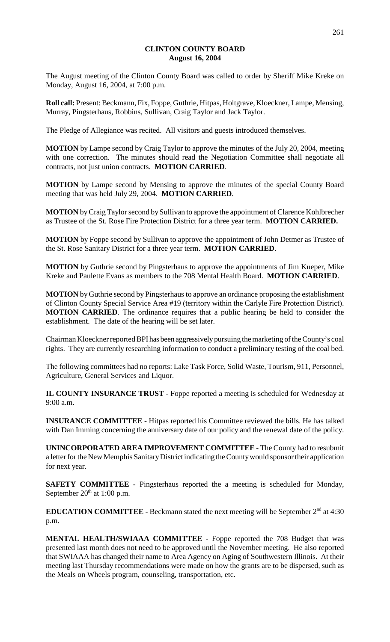## **CLINTON COUNTY BOARD August 16, 2004**

The August meeting of the Clinton County Board was called to order by Sheriff Mike Kreke on Monday, August 16, 2004, at 7:00 p.m.

**Roll call:** Present: Beckmann, Fix, Foppe, Guthrie, Hitpas, Holtgrave, Kloeckner, Lampe, Mensing, Murray, Pingsterhaus, Robbins, Sullivan, Craig Taylor and Jack Taylor.

The Pledge of Allegiance was recited. All visitors and guests introduced themselves.

**MOTION** by Lampe second by Craig Taylor to approve the minutes of the July 20, 2004, meeting with one correction. The minutes should read the Negotiation Committee shall negotiate all contracts, not just union contracts. **MOTION CARRIED**.

**MOTION** by Lampe second by Mensing to approve the minutes of the special County Board meeting that was held July 29, 2004. **MOTION CARRIED**.

**MOTION** by Craig Taylor second by Sullivan to approve the appointment of Clarence Kohlbrecher as Trustee of the St. Rose Fire Protection District for a three year term. **MOTION CARRIED.** 

**MOTION** by Foppe second by Sullivan to approve the appointment of John Detmer as Trustee of the St. Rose Sanitary District for a three year term. **MOTION CARRIED**.

**MOTION** by Guthrie second by Pingsterhaus to approve the appointments of Jim Kueper, Mike Kreke and Paulette Evans as members to the 708 Mental Health Board. **MOTION CARRIED**.

**MOTION** by Guthrie second by Pingsterhaus to approve an ordinance proposing the establishment of Clinton County Special Service Area #19 (territory within the Carlyle Fire Protection District). **MOTION CARRIED**. The ordinance requires that a public hearing be held to consider the establishment. The date of the hearing will be set later.

Chairman Kloeckner reported BPI has been aggressively pursuing the marketing of the County's coal rights. They are currently researching information to conduct a preliminary testing of the coal bed.

The following committees had no reports: Lake Task Force, Solid Waste, Tourism, 911, Personnel, Agriculture, General Services and Liquor.

**IL COUNTY INSURANCE TRUST** - Foppe reported a meeting is scheduled for Wednesday at 9:00 a.m.

**INSURANCE COMMITTEE** - Hitpas reported his Committee reviewed the bills. He has talked with Dan Imming concerning the anniversary date of our policy and the renewal date of the policy.

**UNINCORPORATED AREA IMPROVEMENT COMMITTEE** - The County had to resubmit a letter for the New Memphis Sanitary District indicating the County would sponsor their application for next year.

**SAFETY COMMITTEE** - Pingsterhaus reported the a meeting is scheduled for Monday, September  $20<sup>th</sup>$  at 1:00 p.m.

**EDUCATION COMMITTEE** - Beckmann stated the next meeting will be September  $2<sup>nd</sup>$  at 4:30 p.m.

**MENTAL HEALTH/SWIAAA COMMITTEE** - Foppe reported the 708 Budget that was presented last month does not need to be approved until the November meeting. He also reported that SWIAAA has changed their name to Area Agency on Aging of Southwestern Illinois. At their meeting last Thursday recommendations were made on how the grants are to be dispersed, such as the Meals on Wheels program, counseling, transportation, etc.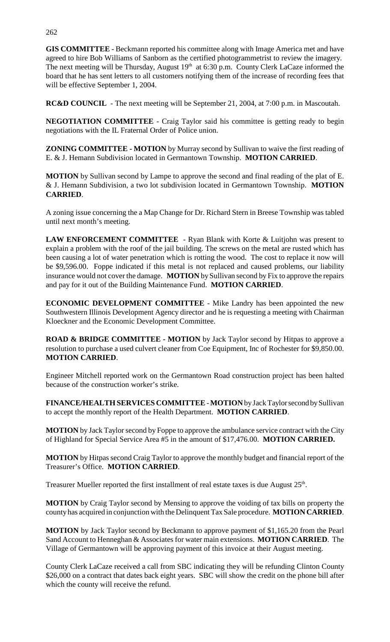**GIS COMMITTEE** - Beckmann reported his committee along with Image America met and have agreed to hire Bob Williams of Sanborn as the certified photogrammetrist to review the imagery. The next meeting will be Thursday, August  $19<sup>th</sup>$  at 6:30 p.m. County Clerk LaCaze informed the board that he has sent letters to all customers notifying them of the increase of recording fees that will be effective September 1, 2004.

**RC&D COUNCIL** - The next meeting will be September 21, 2004, at 7:00 p.m. in Mascoutah.

**NEGOTIATION COMMITTEE** - Craig Taylor said his committee is getting ready to begin negotiations with the IL Fraternal Order of Police union.

**ZONING COMMITTEE - MOTION** by Murray second by Sullivan to waive the first reading of E. & J. Hemann Subdivision located in Germantown Township. **MOTION CARRIED**.

**MOTION** by Sullivan second by Lampe to approve the second and final reading of the plat of E. & J. Hemann Subdivision, a two lot subdivision located in Germantown Township. **MOTION CARRIED**.

A zoning issue concerning the a Map Change for Dr. Richard Stern in Breese Township was tabled until next month's meeting.

**LAW ENFORCEMENT COMMITTEE** - Ryan Blank with Korte & Luitjohn was present to explain a problem with the roof of the jail building. The screws on the metal are rusted which has been causing a lot of water penetration which is rotting the wood. The cost to replace it now will be \$9,596.00. Foppe indicated if this metal is not replaced and caused problems, our liability insurance would not cover the damage. **MOTION** by Sullivan second by Fix to approve the repairs and pay for it out of the Building Maintenance Fund. **MOTION CARRIED**.

**ECONOMIC DEVELOPMENT COMMITTEE** - Mike Landry has been appointed the new Southwestern Illinois Development Agency director and he is requesting a meeting with Chairman Kloeckner and the Economic Development Committee.

**ROAD & BRIDGE COMMITTEE - MOTION** by Jack Taylor second by Hitpas to approve a resolution to purchase a used culvert cleaner from Coe Equipment, Inc of Rochester for \$9,850.00. **MOTION CARRIED**.

Engineer Mitchell reported work on the Germantown Road construction project has been halted because of the construction worker's strike.

**FINANCE/HEALTH SERVICES COMMITTEE** - **MOTION** by Jack Taylor second by Sullivan to accept the monthly report of the Health Department. **MOTION CARRIED**.

**MOTION** by Jack Taylor second by Foppe to approve the ambulance service contract with the City of Highland for Special Service Area #5 in the amount of \$17,476.00. **MOTION CARRIED.**

**MOTION** by Hitpas second Craig Taylor to approve the monthly budget and financial report of the Treasurer's Office. **MOTION CARRIED**.

Treasurer Mueller reported the first installment of real estate taxes is due August 25<sup>th</sup>.

**MOTION** by Craig Taylor second by Mensing to approve the voiding of tax bills on property the county has acquired in conjunction with the Delinquent Tax Sale procedure. **MOTION CARRIED**.

**MOTION** by Jack Taylor second by Beckmann to approve payment of \$1,165.20 from the Pearl Sand Account to Henneghan & Associates for water main extensions. **MOTION CARRIED**. The Village of Germantown will be approving payment of this invoice at their August meeting.

County Clerk LaCaze received a call from SBC indicating they will be refunding Clinton County \$26,000 on a contract that dates back eight years. SBC will show the credit on the phone bill after which the county will receive the refund.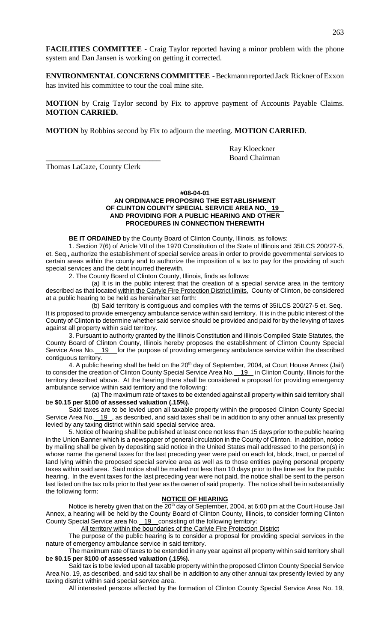**FACILITIES COMMITTEE** - Craig Taylor reported having a minor problem with the phone system and Dan Jansen is working on getting it corrected.

**ENVIRONMENTAL CONCERNS COMMITTEE** - Beckmann reported Jack Rickner of Exxon has invited his committee to tour the coal mine site.

**MOTION** by Craig Taylor second by Fix to approve payment of Accounts Payable Claims. **MOTION CARRIED.**

**MOTION** by Robbins second by Fix to adjourn the meeting. **MOTION CARRIED**.

Ray Kloeckner \_\_\_\_\_\_\_\_\_\_\_\_\_\_\_\_\_\_\_\_\_\_\_\_\_\_\_\_\_\_ Board Chairman

Thomas LaCaze, County Clerk

## **#08-04-01 AN ORDINANCE PROPOSING THE ESTABLISHMENT OF CLINTON COUNTY SPECIAL SERVICE AREA NO. 19 AND PROVIDING FOR A PUBLIC HEARING AND OTHER PROCEDURES IN CONNECTION THEREWITH**

**BE IT ORDAINED** by the County Board of Clinton County, Illinois, as follows:

1. Section 7(6) of Article VII of the 1970 Constitution of the State of Illinois and 35ILCS 200/27-5, et. Seq.**,** authorize the establishment of special service areas in order to provide governmental services to certain areas within the county and to authorize the imposition of a tax to pay for the providing of such special services and the debt incurred therewith.

2. The County Board of Clinton County, Illinois, finds as follows:

(a) It is in the public interest that the creation of a special service area in the territory described as that located within the Carlyle Fire Protection District limits, County of Clinton, be considered at a public hearing to be held as hereinafter set forth:

(b) Said territory is contiguous and complies with the terms of 35ILCS 200/27-5 et. Seq. It is proposed to provide emergency ambulance service within said territory. It is in the public interest of the County of Clinton to determine whether said service should be provided and paid for by the levying of taxes against all property within said territory.

3. Pursuant to authority granted by the Illinois Constitution and Illinois Compiled State Statutes, the County Board of Clinton County, Illinois hereby proposes the establishment of Clinton County Special Service Area No. 19 for the purpose of providing emergency ambulance service within the described contiguous territory.

4. A public hearing shall be held on the  $20<sup>th</sup>$  day of September, 2004, at Court House Annex (Jail) to consider the creation of Clinton County Special Service Area No. 19 in Clinton County, Illinois for the territory described above. At the hearing there shall be considered a proposal for providing emergency ambulance service within said territory and the following:

(a) The maximum rate of taxes to be extended against all property within said territory shall be **\$0.15 per \$100 of assessed valuation (.15%).**

Said taxes are to be levied upon all taxable property within the proposed Clinton County Special Service Area No. 19, as described, and said taxes shall be in addition to any other annual tax presently levied by any taxing district within said special service area.

5. Notice of hearing shall be published at least once not less than 15 days prior to the public hearing in the Union Banner which is a newspaper of general circulation in the County of Clinton. In addition, notice by mailing shall be given by depositing said notice in the United States mail addressed to the person(s) in whose name the general taxes for the last preceding year were paid on each lot, block, tract, or parcel of land lying within the proposed special service area as well as to those entities paying personal property taxes within said area. Said notice shall be mailed not less than 10 days prior to the time set for the public hearing. In the event taxes for the last preceding year were not paid, the notice shall be sent to the person last listed on the tax rolls prior to that year as the owner of said property. The notice shall be in substantially the following form:

#### **NOTICE OF HEARING**

Notice is hereby given that on the 20<sup>th</sup> day of September, 2004, at 6:00 pm at the Court House Jail Annex, a hearing will be held by the County Board of Clinton County, Illinois, to consider forming Clinton County Special Service area No. 19 consisting of the following territory:

All territory within the boundaries of the Carlyle Fire Protection District

The purpose of the public hearing is to consider a proposal for providing special services in the nature of emergency ambulance service in said territory.

The maximum rate of taxes to be extended in any year against all property within said territory shall be **\$0.15 per \$100 of assessed valuation (.15%).**

Said tax is to be levied upon all taxable property within the proposed Clinton County Special Service Area No. 19, as described, and said tax shall be in addition to any other annual tax presently levied by any taxing district within said special service area.

All interested persons affected by the formation of Clinton County Special Service Area No. 19,